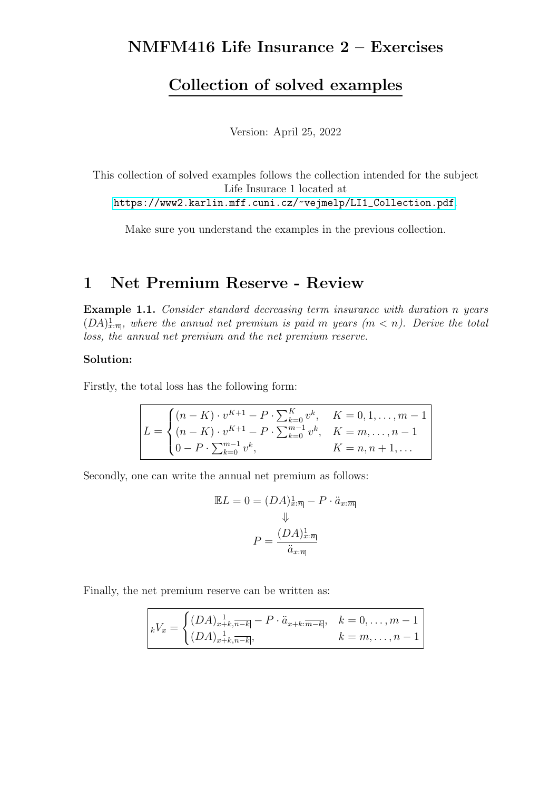# NMFM416 Life Insurance 2 – Exercises

# Collection of solved examples

Version: April 25, 2022

This collection of solved examples follows the collection intended for the subject Life Insurace 1 located at [https://www2.karlin.mff.cuni.cz/~vejmelp/LI1\\_Collection.pdf](https://www2.karlin.mff.cuni.cz/~vejmelp/LI1_Collection.pdf).

Make sure you understand the examples in the previous collection.

# 1 Net Premium Reserve - Review

Example 1.1. Consider standard decreasing term insurance with duration n years  $(DA)_{x:\overline{n}|}$ , where the annual net premium is paid m years  $(m < n)$ . Derive the total loss, the annual net premium and the net premium reserve.

## Solution:

Firstly, the total loss has the following form:

$$
L = \begin{cases} (n - K) \cdot v^{K+1} - P \cdot \sum_{k=0}^{K} v^k, & K = 0, 1, ..., m-1 \\ (n - K) \cdot v^{K+1} - P \cdot \sum_{k=0}^{m-1} v^k, & K = m, ..., n-1 \\ 0 - P \cdot \sum_{k=0}^{m-1} v^k, & K = n, n+1, ... \end{cases}
$$

Secondly, one can write the annual net premium as follows:

$$
\mathbb{E}L = 0 = (DA)_{x:\overline{n}|}^1 - P \cdot \ddot{a}_{x:\overline{m}|}
$$

$$
\Downarrow
$$

$$
P = \frac{(DA)_{x:\overline{n}|}^1}{\ddot{a}_{x:\overline{n}|}}
$$

Finally, the net premium reserve can be written as:

$$
{}_{k}V_{x} = \begin{cases} (DA)_{x+k, \overline{n-k}}^{-1} - P \cdot \ddot{a}_{x+k; \overline{m-k}}, & k = 0, \dots, m-1 \\ (DA)_{x+k, \overline{n-k}}, & k = m, \dots, n-1 \end{cases}
$$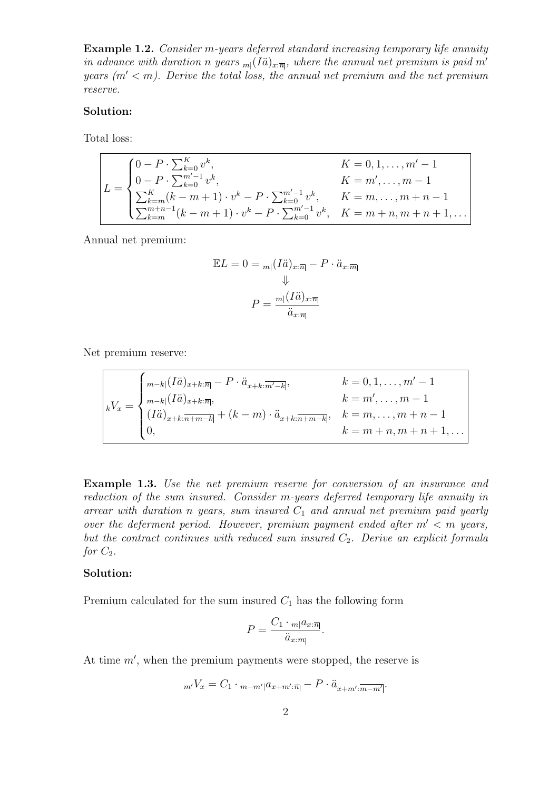Example 1.2. Consider m-years deferred standard increasing temporary life annuity in advance with duration n years  $_m(I\ddot{a})_{x:\overline{n}}$ , where the annual net premium is paid m' years  $(m' < m)$ . Derive the total loss, the annual net premium and the net premium reserve.

### Solution:

Total loss:

$$
L = \begin{cases} 0 - P \cdot \sum_{k=0}^{K} v^k, & K = 0, 1, ..., m' - 1 \\ 0 - P \cdot \sum_{k=0}^{m'-1} v^k, & K = m', ..., m - 1 \\ \sum_{k=m}^{K} (k - m + 1) \cdot v^k - P \cdot \sum_{k=0}^{m'-1} v^k, & K = m, ..., m + n - 1 \\ \sum_{k=m}^{m+n-1} (k - m + 1) \cdot v^k - P \cdot \sum_{k=0}^{m'-1} v^k, & K = m + n, m + n + 1, ... \end{cases}
$$

Annual net premium:

$$
\mathbb{E}L = 0 = \min(I\ddot{a})_{x:\overline{n}|} - P \cdot \ddot{a}_{x:\overline{m}}
$$

$$
\Downarrow
$$

$$
P = \frac{m|(I\ddot{a})_{x:\overline{n}|}}{\ddot{a}_{x:\overline{n}|}}
$$

Net premium reserve:

$$
{}_{k}V_{x} = \begin{cases} \n{}_{m-k}[(I\ddot{a})_{x+k:\overline{n}]} - P \cdot \ddot{a}_{x+k:\overline{m'-k}}; & k = 0, 1, \dots, m'-1 \\
{}_{m-k}[(I\ddot{a})_{x+k:\overline{n+m-k}}; & k = m', \dots, m-1 \\
(I\ddot{a})_{x+k:\overline{n+m-k}} + (k-m) \cdot \ddot{a}_{x+k:\overline{n+m-k}}; & k = m, \dots, m+n-1 \\
0, & k = m+n, m+n+1, \dots\n\end{cases}
$$

**Example 1.3.** Use the net premium reserve for conversion of an insurance and reduction of the sum insured. Consider m-years deferred temporary life annuity in arrear with duration n years, sum insured  $C_1$  and annual net premium paid yearly over the deferment period. However, premium payment ended after  $m' < m$  years, but the contract continues with reduced sum insured  $C_2$ . Derive an explicit formula for  $C_2$ .

### Solution:

Premium calculated for the sum insured  $C_1$  has the following form

$$
P = \frac{C_1 \cdot m |a_{x:\overline{n}|}}{\ddot{a}_{x:\overline{m}|}}.
$$

At time  $m'$ , when the premium payments were stopped, the reserve is

$$
{}_{m'}V_x = C_1 \cdot {}_{m-m'|}a_{x+m';\overline{n}|} - P \cdot \ddot{a}_{x+m';\overline{m-m'|}}.
$$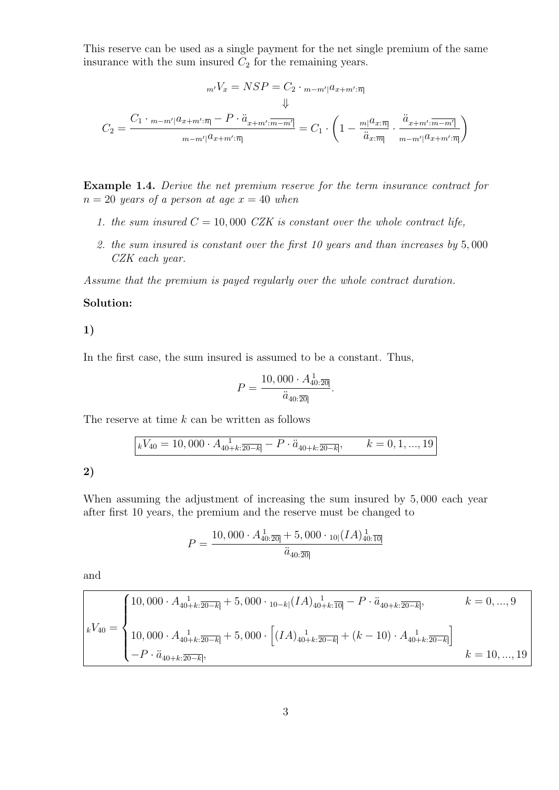This reserve can be used as a single payment for the net single premium of the same insurance with the sum insured  $C_2$  for the remaining years.

$$
{}_{m'}V_x = NSP = C_2 \cdot {}_{m-m'}|a_{x+m';\overline{n}}\n\psi
$$
  

$$
C_2 = \frac{C_1 \cdot {}_{m-m'}|a_{x+m';\overline{n}} - P \cdot \ddot{a}_{x+m';\overline{m-m'}}}{ {}_{m-m'}|a_{x+m';\overline{n}}|} = C_1 \cdot \left(1 - \frac{{m}|a_{x;\overline{n}}}{\ddot{a}_{x;\overline{m}}}\cdot \frac{\ddot{a}_{x+m';\overline{m-m'}}}{ {}_{m-m'}|a_{x+m';\overline{n}}|}\right)
$$

Example 1.4. Derive the net premium reserve for the term insurance contract for  $n = 20$  years of a person at age  $x = 40$  when

- 1. the sum insured  $C = 10,000$  CZK is constant over the whole contract life,
- 2. the sum insured is constant over the first 10 years and than increases by 5, 000 CZK each year.

Assume that the premium is payed regularly over the whole contract duration.

### Solution:

1)

In the first case, the sum insured is assumed to be a constant. Thus,

$$
P = \frac{10,000 \cdot A_{40:\overline{20}]}^1}{\ddot{a}_{40:\overline{20}}}.
$$

The reserve at time k can be written as follows

$$
kV_{40} = 10,000 \cdot A_{40+k:\overline{20-k}} - P \cdot \ddot{a}_{40+k:\overline{20-k}}, \qquad k = 0,1,...,19
$$

2)

When assuming the adjustment of increasing the sum insured by 5, 000 each year after first 10 years, the premium and the reserve must be changed to

$$
P = \frac{10,000 \cdot A_{40:\overline{20}|}^1 + 5,000 \cdot_{10|}(IA)_{40:\overline{10}|}^1}{\ddot{a}_{40:\overline{20}|}}
$$

and

$$
k = 0, ..., 9
$$
  
\n
$$
k = 0, ..., 9
$$
  
\n
$$
k = 0, ..., 9
$$
  
\n
$$
k = 0, ..., 9
$$
  
\n
$$
k = 0, ..., 9
$$
  
\n
$$
k = 0, ..., 9
$$
  
\n
$$
k = 0, ..., 9
$$
  
\n
$$
k = 0, ..., 9
$$
  
\n
$$
k = 0, ..., 9
$$
  
\n
$$
k = 0, ..., 9
$$
  
\n
$$
k = 0, ..., 9
$$
  
\n
$$
k = 0, ..., 9
$$
  
\n
$$
k = 0, ..., 9
$$
  
\n
$$
k = 0, ..., 9
$$
  
\n
$$
k = 0, ..., 9
$$
  
\n
$$
k = 0, ..., 9
$$
  
\n
$$
k = 0, ..., 9
$$
  
\n
$$
k = 0, ..., 9
$$
  
\n
$$
k = 0, ..., 9
$$
  
\n
$$
k = 0, ..., 9
$$
  
\n
$$
k = 0, ..., 9
$$
  
\n
$$
k = 10, ..., 19
$$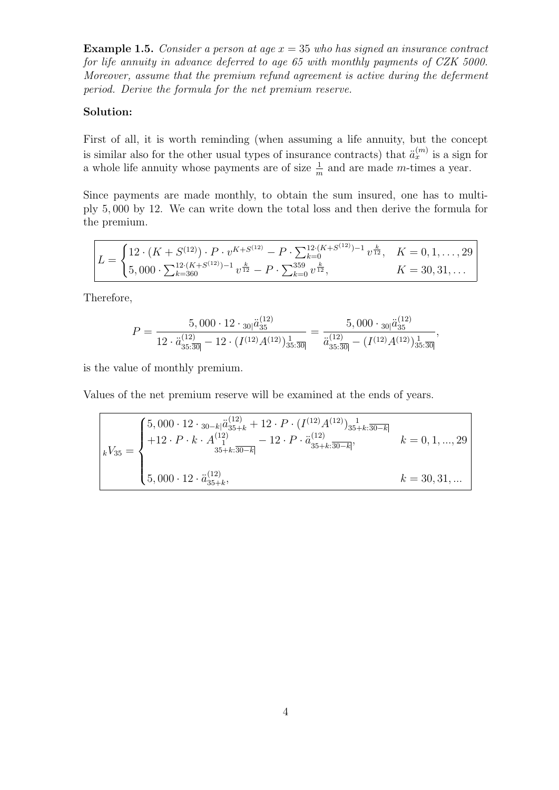**Example 1.5.** Consider a person at age  $x = 35$  who has signed an insurance contract for life annuity in advance deferred to age 65 with monthly payments of CZK 5000. Moreover, assume that the premium refund agreement is active during the deferment period. Derive the formula for the net premium reserve.

## Solution:

First of all, it is worth reminding (when assuming a life annuity, but the concept is similar also for the other usual types of insurance contracts) that  $\ddot{a}_x^{(m)}$  is a sign for a whole life annuity whose payments are of size  $\frac{1}{m}$  and are made m-times a year.

Since payments are made monthly, to obtain the sum insured, one has to multiply 5, 000 by 12. We can write down the total loss and then derive the formula for the premium.

$$
L = \begin{cases} 12 \cdot (K + S^{(12)}) \cdot P \cdot v^{K + S^{(12)}} - P \cdot \sum_{k=0}^{12 \cdot (K + S^{(12)}) - 1} v^{\frac{k}{12}}, & K = 0, 1, ..., 29 \\ 5,000 \cdot \sum_{k=360}^{12 \cdot (K + S^{(12)}) - 1} v^{\frac{k}{12}} - P \cdot \sum_{k=0}^{359} v^{\frac{k}{12}}, & K = 30, 31, ... \end{cases}
$$

Therefore,

$$
P = \frac{5,000 \cdot 12 \cdot \frac{1}{30} \ddot{a}_{35}^{(12)}}{12 \cdot \ddot{a}_{35 \cdot 30}^{(12)} - 12 \cdot (I^{(12)} A^{(12)}) \frac{1}{35 \cdot 30}} = \frac{5,000 \cdot \frac{1}{30} \ddot{a}_{35}^{(12)}}{\ddot{a}_{35 \cdot 30}^{(12)} - (I^{(12)} A^{(12)}) \frac{1}{35 \cdot 30}},
$$

is the value of monthly premium.

Values of the net premium reserve will be examined at the ends of years.

$$
{}_{k}V_{35} = \begin{cases} 5,000 \cdot 12 \cdot {}_{30-k} \ddot{a}_{35+k}^{(12)} + 12 \cdot P \cdot (I^{(12)} A^{(12)})_{35+k:\overline{30-k}]} \\ + 12 \cdot P \cdot k \cdot A^{(12)}_{1} & - 12 \cdot P \cdot \ddot{a}_{35+k:\overline{30-k}]}^{(12)} \\ 5,000 \cdot 12 \cdot \ddot{a}_{35+k}^{(12)}, & k = 30,31, \dots \end{cases}
$$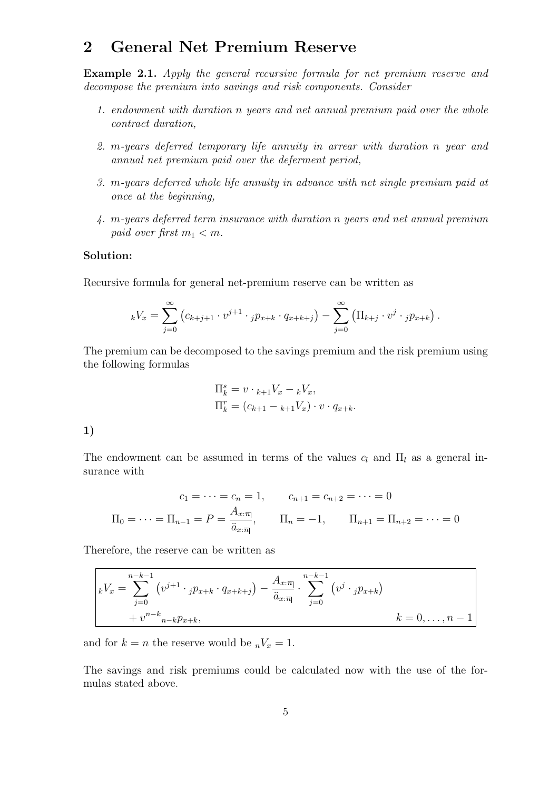# 2 General Net Premium Reserve

Example 2.1. Apply the general recursive formula for net premium reserve and decompose the premium into savings and risk components. Consider

- 1. endowment with duration n years and net annual premium paid over the whole contract duration,
- 2. m-years deferred temporary life annuity in arrear with duration n year and annual net premium paid over the deferment period,
- 3. m-years deferred whole life annuity in advance with net single premium paid at once at the beginning,
- 4. m-years deferred term insurance with duration n years and net annual premium paid over first  $m_1 < m$ .

## Solution:

Recursive formula for general net-premium reserve can be written as

$$
{}_{k}V_{x} = \sum_{j=0}^{\infty} (c_{k+j+1} \cdot v^{j+1} \cdot {}_{j}p_{x+k} \cdot q_{x+k+j}) - \sum_{j=0}^{\infty} (\Pi_{k+j} \cdot v^{j} \cdot {}_{j}p_{x+k}).
$$

The premium can be decomposed to the savings premium and the risk premium using the following formulas

$$
\Pi_k^s = v \cdot {}_{k+1}V_x - {}_kV_x,
$$
  
\n
$$
\Pi_k^r = (c_{k+1} - {}_{k+1}V_x) \cdot v \cdot q_{x+k}.
$$

1)

The endowment can be assumed in terms of the values  $c_l$  and  $\Pi_l$  as a general insurance with

$$
c_1 = \dots = c_n = 1, \qquad c_{n+1} = c_{n+2} = \dots = 0
$$

$$
\Pi_0 = \dots = \Pi_{n-1} = P = \frac{A_{x:\overline{n}|}}{\ddot{a}_{x:\overline{n}|}}, \qquad \Pi_n = -1, \qquad \Pi_{n+1} = \Pi_{n+2} = \dots = 0
$$

Therefore, the reserve can be written as

$$
\begin{aligned}\nkV_x &= \sum_{j=0}^{n-k-1} \left( v^{j+1} \cdot {}_{j}p_{x+k} \cdot q_{x+k+j} \right) - \frac{A_{x:\overline{n}}}{\ddot{a}_{x:\overline{n}}} \cdot \sum_{j=0}^{n-k-1} \left( v^j \cdot {}_{j}p_{x+k} \right) \\
&+ v^{n-k}{}_{n-k}p_{x+k}, \quad k=0,\ldots,n-1\n\end{aligned}
$$

and for  $k = n$  the reserve would be  $nV_x = 1$ .

The savings and risk premiums could be calculated now with the use of the formulas stated above.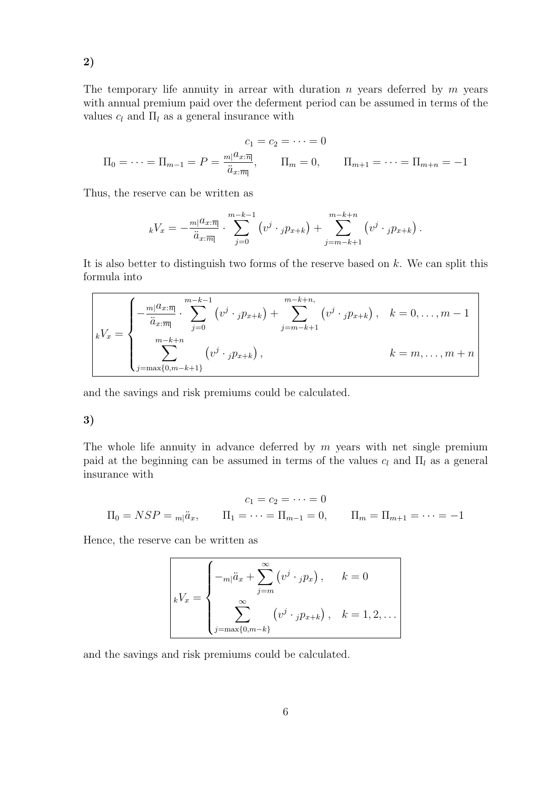The temporary life annuity in arrear with duration  $n$  years deferred by  $m$  years with annual premium paid over the deferment period can be assumed in terms of the values  $c_l$  and  $\Pi_l$  as a general insurance with

$$
c_1 = c_2 = \dots = 0
$$
  
\n
$$
\Pi_0 = \dots = \Pi_{m-1} = P = \frac{m|a_{x:\overline{n}|}}{\ddot{a}_{x:\overline{m}|}}, \qquad \Pi_m = 0, \qquad \Pi_{m+1} = \dots = \Pi_{m+n} = -1
$$

Thus, the reserve can be written as

$$
{}_{k}V_{x} = -\frac{m|a_{x:\overline{m}}}{\ddot{a}_{x:\overline{m}}} \cdot \sum_{j=0}^{m-k-1} \left( v^{j} \cdot {}_{j}p_{x+k} \right) + \sum_{j=m-k+1}^{m-k+n} \left( v^{j} \cdot {}_{j}p_{x+k} \right).
$$

It is also better to distinguish two forms of the reserve based on  $k$ . We can split this formula into

$$
k = \begin{cases}\n-\frac{m|a_{x:\overline{n}|}}{\ddot{a}_{x:\overline{m}|}} \cdot \sum_{j=0}^{m-k-1} (v^j \cdot {}_{j}p_{x+k}) + \sum_{j=m-k+1}^{m-k+n} (v^j \cdot {}_{j}p_{x+k}), & k = 0, \ldots, m-1 \\
\sum_{j=m \text{max}\{0,m-k+1\}}^{m-k+n} (v^j \cdot {}_{j}p_{x+k}), & k = m, \ldots, m+n\n\end{cases}
$$

and the savings and risk premiums could be calculated.

## 3)

The whole life annuity in advance deferred by  $m$  years with net single premium paid at the beginning can be assumed in terms of the values  $c_l$  and  $\Pi_l$  as a general insurance with

$$
c_1 = c_2 = \dots = 0
$$
  
\n
$$
\Pi_0 = NSP = m_1 \ddot{a}_x, \qquad \Pi_1 = \dots = \Pi_{m-1} = 0, \qquad \Pi_m = \Pi_{m+1} = \dots = -1
$$

Hence, the reserve can be written as

$$
kV_x = \begin{cases}\n-\frac{\ddot{a}}{2m} + \sum_{j=m}^{\infty} (v^j \cdot_j p_x), & k = 0 \\
\sum_{j=\max\{0,m-k\}}^{\infty} (v^j \cdot_j p_{x+k}), & k = 1, 2, \dots\n\end{cases}
$$

and the savings and risk premiums could be calculated.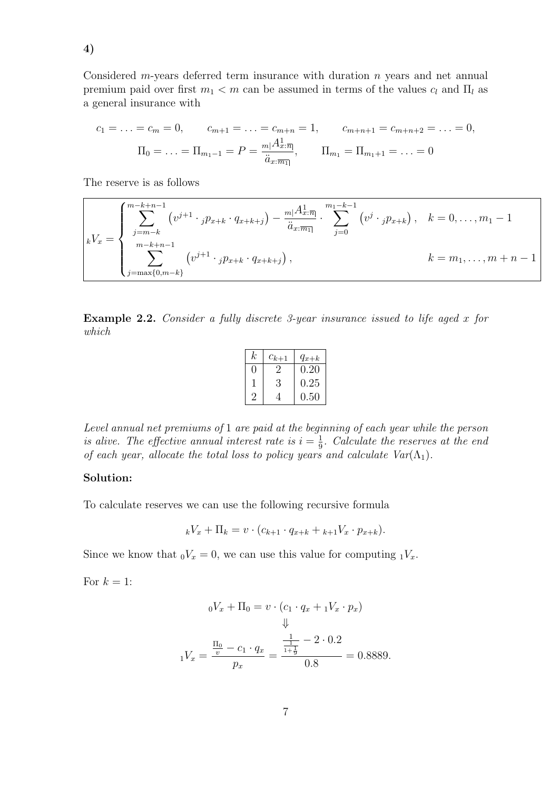$$
c_1 = \ldots = c_m = 0, \qquad c_{m+1} = \ldots = c_{m+n} = 1, \qquad c_{m+n+1} = c_{m+n+2} = \ldots = 0,
$$

$$
\Pi_0 = \ldots = \Pi_{m_1-1} = P = \frac{m|A_x^1:\overline{n}|}{\ddot{a}_x:\overline{m_1}|}, \qquad \Pi_{m_1} = \Pi_{m_1+1} = \ldots = 0
$$

The reserve is as follows

$$
kV_x = \begin{cases} \sum_{j=m-k}^{m-k+n-1} (v^{j+1} \cdot_j p_{x+k} \cdot q_{x+k+j}) - \frac{m_1 A_{x;\overline{n}|}^1}{\ddot{a}_{x;\overline{n}|}} \cdot \sum_{j=0}^{m_1-k-1} (v^j \cdot_j p_{x+k}), & k = 0, \dots, m_1-1\\ \sum_{j=\max\{0,m-k\}}^{m-k+n-1} (v^{j+1} \cdot_j p_{x+k} \cdot q_{x+k+j}), & k = m_1, \dots, m+n-1 \end{cases}
$$

Example 2.2. Consider a fully discrete 3-year insurance issued to life aged x for which

| k. | $c_{k+1}$    | $q_{x+k}$ |
|----|--------------|-----------|
|    | $\mathbf{z}$ | 0.20      |
|    | 3            | 0.25      |
|    |              | 0.50      |

Level annual net premiums of 1 are paid at the beginning of each year while the person is alive. The effective annual interest rate is  $i = \frac{1}{9}$  $\frac{1}{9}$ . Calculate the reserves at the end of each year, allocate the total loss to policy years and calculate  $Var(\Lambda_1)$ .

## Solution:

To calculate reserves we can use the following recursive formula

$$
{}_{k}V_{x} + \Pi_{k} = v \cdot (c_{k+1} \cdot q_{x+k} + {}_{k+1}V_{x} \cdot p_{x+k}).
$$

Since we know that  ${}_0V_x = 0$ , we can use this value for computing  ${}_1V_x$ .

For  $k = 1$ :

$$
{}_{0}V_{x} + \Pi_{0} = v \cdot (c_{1} \cdot q_{x} + {}_{1}V_{x} \cdot p_{x})
$$
  

$$
\Downarrow
$$
  

$$
{}_{1}V_{x} = \frac{\frac{\Pi_{0}}{v} - c_{1} \cdot q_{x}}{p_{x}} = \frac{\frac{\frac{1}{1}}{1 + \frac{1}{9}} - 2 \cdot 0.2}{0.8} = 0.8889.
$$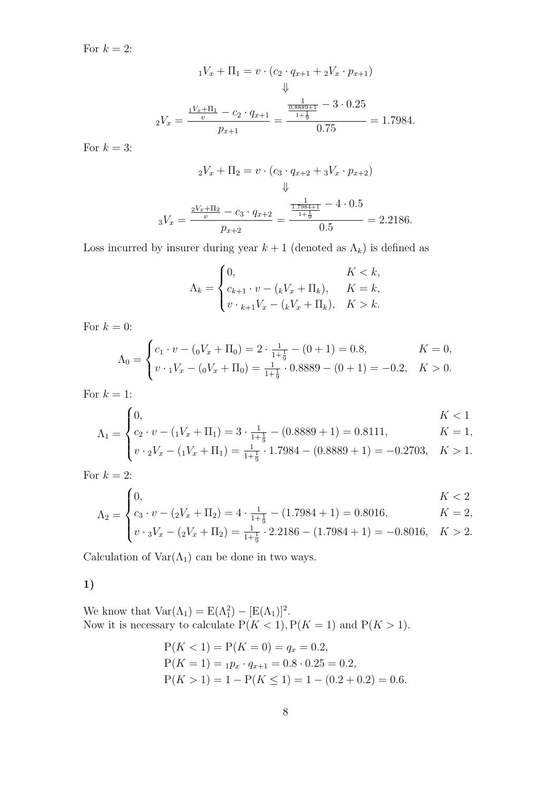For  $k = 2$ :

$$
{}_{1}V_{x} + \Pi_{1} = v \cdot (c_{2} \cdot q_{x+1} + {}_{2}V_{x} \cdot p_{x+1})
$$
  

$$
\Downarrow
$$
  

$$
{}_{2}V_{x} = \frac{\frac{1}{v} + \Pi_{1}}{v} - c_{2} \cdot q_{x+1}}{p_{x+1}} = \frac{\frac{\frac{1}{0.8889 + 1}}{1 + \frac{1}{9}} - 3 \cdot 0.25}{0.75} = 1.7984.
$$

For  $k = 3$ :

$$
{}_{2}V_{x} + \Pi_{2} = v \cdot (c_{3} \cdot q_{x+2} + {}_{3}V_{x} \cdot p_{x+2})
$$
  

$$
\Downarrow
$$
  

$$
{}_{3}V_{x} = \frac{\frac{2V_{x} + \Pi_{2}}{v} - c_{3} \cdot q_{x+2}}{p_{x+2}} = \frac{\frac{\frac{1}{1.7984 + 1}}{1.7984 + 1}}{0.5} = 2.2186.
$$

Loss incurred by insurer during year  $k + 1$  (denoted as  $\Lambda_k$ ) is defined as

$$
\Lambda_k = \begin{cases} 0, & K < k, \\ c_{k+1} \cdot v - ({}_kV_x + \Pi_k), & K = k, \\ v \cdot {}_{k+1}V_x - ({}_kV_x + \Pi_k), & K > k. \end{cases}
$$

For  $k = 0$ :

$$
\Lambda_0 = \begin{cases} c_1 \cdot v - ({}_0V_x + \Pi_0) = 2 \cdot \frac{1}{1 + \frac{1}{9}} - (0 + 1) = 0.8, & K = 0, \\ v \cdot {}_1V_x - ({}_0V_x + \Pi_0) = \frac{1}{1 + \frac{1}{9}} \cdot 0.8889 - (0 + 1) = -0.2, & K > 0. \end{cases}
$$

For  $k = 1$ :

$$
\Lambda_1 = \begin{cases} 0, & K < 1 \\ c_2 \cdot v - (\frac{1}{x} + \Pi_1) = 3 \cdot \frac{1}{1 + \frac{1}{9}} - (0.8889 + 1) = 0.8111, & K = 1, \\ v \cdot \frac{1}{2}V_x - (\frac{1}{x} + \Pi_1) = \frac{1}{1 + \frac{1}{9}} \cdot 1.7984 - (0.8889 + 1) = -0.2703, & K > 1. \end{cases}
$$

For  $k=2$ :

$$
\Lambda_2 = \begin{cases} 0, & K < 2 \\ c_3 \cdot v - (2V_x + \Pi_2) = 4 \cdot \frac{1}{1 + \frac{1}{9}} - (1.7984 + 1) = 0.8016, & K = 2, \\ v \cdot 3V_x - (2V_x + \Pi_2) = \frac{1}{1 + \frac{1}{9}} \cdot 2.2186 - (1.7984 + 1) = -0.8016, & K > 2. \end{cases}
$$

Calculation of  $\text{Var}(\Lambda_1)$  can be done in two ways.

# 1)

We know that  $\text{Var}(\Lambda_1) = E(\Lambda_1^2) - [E(\Lambda_1)]^2$ . Now it is necessary to calculate  $P(K < 1), P(K = 1)$  and  $P(K > 1)$ .

$$
P(K < 1) = P(K = 0) = q_x = 0.2,
$$
  
\n
$$
P(K = 1) = {}_{1}p_x \cdot q_{x+1} = 0.8 \cdot 0.25 = 0.2,
$$
  
\n
$$
P(K > 1) = 1 - P(K \le 1) = 1 - (0.2 + 0.2) = 0.6.
$$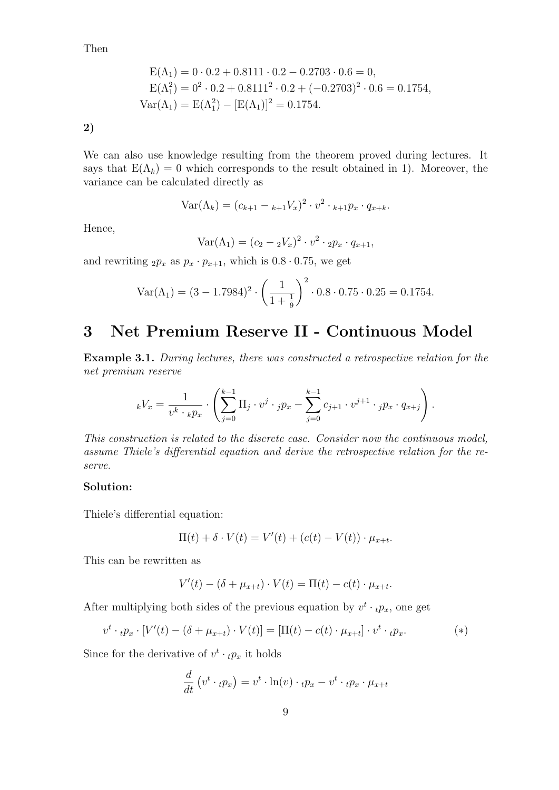Then

$$
E(\Lambda_1) = 0 \cdot 0.2 + 0.8111 \cdot 0.2 - 0.2703 \cdot 0.6 = 0,
$$
  
\n
$$
E(\Lambda_1^2) = 0^2 \cdot 0.2 + 0.8111^2 \cdot 0.2 + (-0.2703)^2 \cdot 0.6 = 0.1754,
$$
  
\n
$$
Var(\Lambda_1) = E(\Lambda_1^2) - [E(\Lambda_1)]^2 = 0.1754.
$$

2)

We can also use knowledge resulting from the theorem proved during lectures. It says that  $E(\Lambda_k) = 0$  which corresponds to the result obtained in 1). Moreover, the variance can be calculated directly as

$$
Var(\Lambda_k) = (c_{k+1} - {}_{k+1}V_x)^2 \cdot v^2 \cdot {}_{k+1}p_x \cdot q_{x+k}.
$$

Hence,

$$
Var(\Lambda_1) = (c_2 - \nu_x)^2 \cdot v^2 \cdot 2p_x \cdot q_{x+1},
$$

and rewriting  $_2p_x$  as  $p_x \cdot p_{x+1}$ , which is  $0.8 \cdot 0.75$ , we get

$$
Var(\Lambda_1) = (3 - 1.7984)^2 \cdot \left(\frac{1}{1 + \frac{1}{9}}\right)^2 \cdot 0.8 \cdot 0.75 \cdot 0.25 = 0.1754.
$$

# 3 Net Premium Reserve II - Continuous Model

Example 3.1. During lectures, there was constructed a retrospective relation for the net premium reserve

$$
_k V_x = \frac{1}{v^k \cdot_k p_x} \cdot \left( \sum_{j=0}^{k-1} \Pi_j \cdot v^j \cdot_j p_x - \sum_{j=0}^{k-1} c_{j+1} \cdot v^{j+1} \cdot_j p_x \cdot q_{x+j} \right).
$$

This construction is related to the discrete case. Consider now the continuous model, assume Thiele's differential equation and derive the retrospective relation for the reserve.

## Solution:

Thiele's differential equation:

$$
\Pi(t) + \delta \cdot V(t) = V'(t) + (c(t) - V(t)) \cdot \mu_{x+t}.
$$

This can be rewritten as

$$
V'(t) - (\delta + \mu_{x+t}) \cdot V(t) = \Pi(t) - c(t) \cdot \mu_{x+t}.
$$

After multiplying both sides of the previous equation by  $v^t \cdot_t p_x$ , one get

$$
v^t \cdot {}_tp_x \cdot [V'(t) - (\delta + \mu_{x+t}) \cdot V(t)] = [\Pi(t) - c(t) \cdot \mu_{x+t}] \cdot v^t \cdot {}_tp_x. \tag{*}
$$

Since for the derivative of  $v^t \cdot_t p_x$  it holds

$$
\frac{d}{dt}\left(v^t \cdot{}_tp_x\right) = v^t \cdot \ln(v) \cdot{}_tp_x - v^t \cdot{}_tp_x \cdot \mu_{x+t}
$$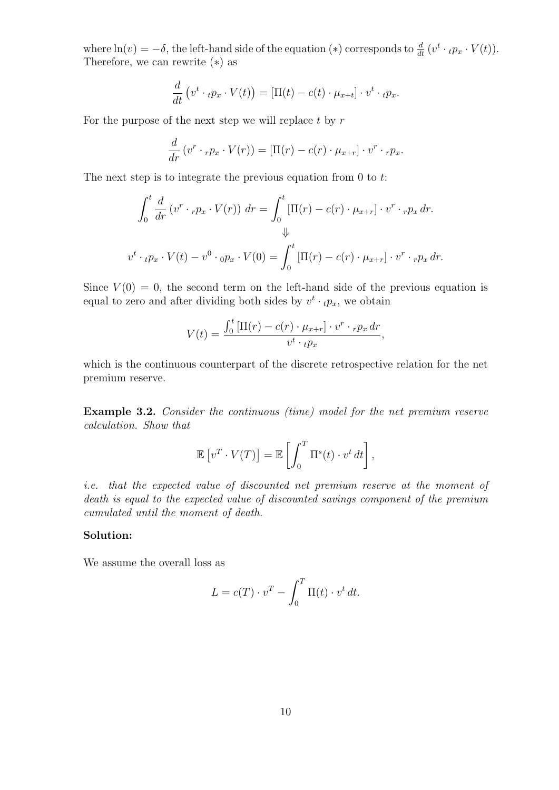where  $\ln(v) = -\delta$ , the left-hand side of the equation (\*) corresponds to  $\frac{d}{dt}(v^t \cdot{}_tp_x \cdot V(t)).$ Therefore, we can rewrite (∗) as

$$
\frac{d}{dt}\left(v^t\cdot{}_tp_x\cdot V(t)\right)=[\Pi(t)-c(t)\cdot\mu_{x+t}]\cdot v^t\cdot{}_tp_x.
$$

For the purpose of the next step we will replace  $t$  by  $r$ 

$$
\frac{d}{dr}(v^r \cdot_r p_x \cdot V(r)) = [\Pi(r) - c(r) \cdot \mu_{x+r}] \cdot v^r \cdot_r p_x.
$$

The next step is to integrate the previous equation from  $0$  to  $t$ :

$$
\int_0^t \frac{d}{dr} (v^r \cdot_r p_x \cdot V(r)) dr = \int_0^t [\Pi(r) - c(r) \cdot \mu_{x+r}] \cdot v^r \cdot_r p_x dr.
$$
  

$$
\Downarrow
$$
  

$$
v^t \cdot_t p_x \cdot V(t) - v^0 \cdot_0 p_x \cdot V(0) = \int_0^t [\Pi(r) - c(r) \cdot \mu_{x+r}] \cdot v^r \cdot_r p_x dr.
$$

Since  $V(0) = 0$ , the second term on the left-hand side of the previous equation is equal to zero and after dividing both sides by  $v^t \cdot_t p_x$ , we obtain

$$
V(t) = \frac{\int_0^t \left[\Pi(r) - c(r) \cdot \mu_{x+r}\right] \cdot v^r \cdot r p_x \, dr}{v^t \cdot t p_x},
$$

which is the continuous counterpart of the discrete retrospective relation for the net premium reserve.

Example 3.2. Consider the continuous (time) model for the net premium reserve calculation. Show that

$$
\mathbb{E}\left[v^T\cdot V(T)\right] = \mathbb{E}\left[\int_0^T \Pi^s(t)\cdot v^t dt\right],
$$

i.e. that the expected value of discounted net premium reserve at the moment of death is equal to the expected value of discounted savings component of the premium cumulated until the moment of death.

### Solution:

We assume the overall loss as

$$
L = c(T) \cdot v^T - \int_0^T \Pi(t) \cdot v^t dt.
$$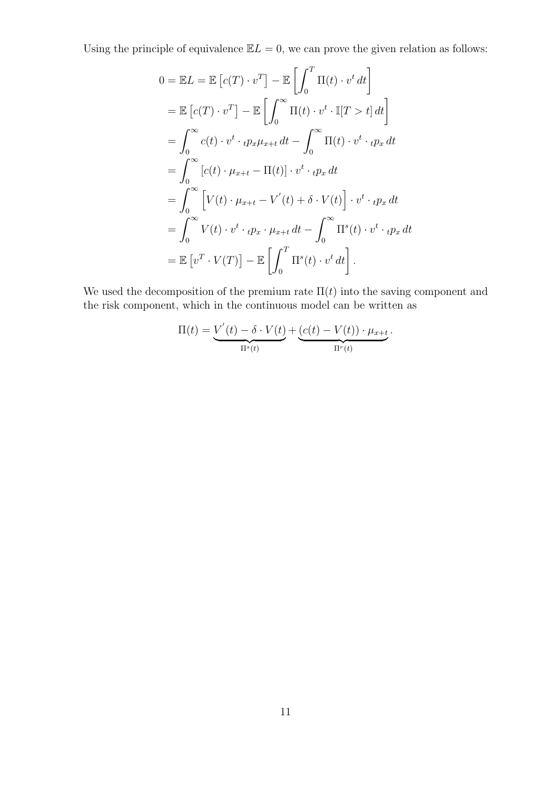Using the principle of equivalence  $\mathbb{E}L = 0$ , we can prove the given relation as follows:

$$
0 = \mathbb{E}L = \mathbb{E}\left[c(T)\cdot v^T\right] - \mathbb{E}\left[\int_0^T \Pi(t)\cdot v^t dt\right]
$$
  
\n
$$
= \mathbb{E}\left[c(T)\cdot v^T\right] - \mathbb{E}\left[\int_0^\infty \Pi(t)\cdot v^t \cdot \mathbb{I}[T > t] dt\right]
$$
  
\n
$$
= \int_0^\infty c(t)\cdot v^t \cdot t p_x \mu_{x+t} dt - \int_0^\infty \Pi(t)\cdot v^t \cdot t p_x dt
$$
  
\n
$$
= \int_0^\infty \left[c(t)\cdot \mu_{x+t} - \Pi(t)\right] \cdot v^t \cdot t p_x dt
$$
  
\n
$$
= \int_0^\infty \left[V(t)\cdot \mu_{x+t} - V'(t) + \delta \cdot V(t)\right] \cdot v^t \cdot t p_x dt
$$
  
\n
$$
= \int_0^\infty V(t) \cdot v^t \cdot t p_x \cdot \mu_{x+t} dt - \int_0^\infty \Pi^s(t) \cdot v^t \cdot t p_x dt
$$
  
\n
$$
= \mathbb{E}\left[v^T \cdot V(T)\right] - \mathbb{E}\left[\int_0^T \Pi^s(t) \cdot v^t dt\right].
$$

We used the decomposition of the premium rate  $\Pi(t)$  into the saving component and the risk component, which in the continuous model can be written as

$$
\Pi(t) = \underbrace{V'(t) - \delta \cdot V(t)}_{\Pi^s(t)} + \underbrace{(c(t) - V(t)) \cdot \mu_{x+t}}_{\Pi^r(t)}.
$$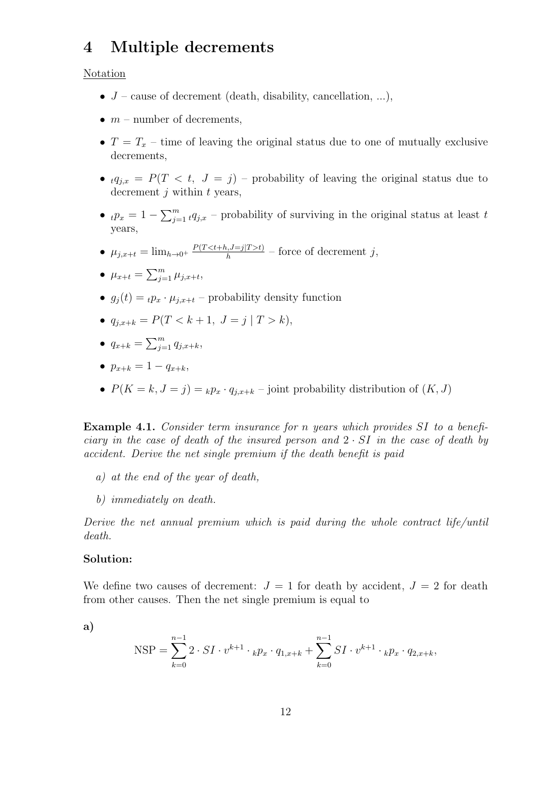# 4 Multiple decrements

### Notation

- $J$  cause of decrement (death, disability, cancellation, ...),
- $m$  number of decrements.
- $T = T_x$  time of leaving the original status due to one of mutually exclusive decrements,
- $tq_{i,x} = P(T \lt t, J = j)$  probability of leaving the original status due to decrement  $i$  within  $t$  years,
- $t p_x = 1 \sum_{j=1}^m t q_{j,x}$  probability of surviving in the original status at least t years,
- $\mu_{j,x+t} = \lim_{h \to 0^+} \frac{P(T < t+h, J=j | T > t)}{h}$  $\frac{h_i, j=j|I>t)}{h}$  – force of decrement j,

• 
$$
\mu_{x+t} = \sum_{j=1}^m \mu_{j,x+t},
$$

- $g_j(t) = t p_x \cdot \mu_{j,x+t}$  probability density function
- $q_{i,x+k} = P(T < k+1, J = j | T > k),$

$$
\bullet \ \ q_{x+k} = \sum_{j=1}^m q_{j,x+k},
$$

- $p_{x+k} = 1 q_{x+k}$
- $P(K = k, J = j) = k p_x \cdot q_{j,x+k}$  joint probability distribution of  $(K, J)$

Example 4.1. Consider term insurance for n years which provides SI to a beneficiary in the case of death of the insured person and  $2 \cdot SI$  in the case of death by accident. Derive the net single premium if the death benefit is paid

- a) at the end of the year of death,
- b) immediately on death.

Derive the net annual premium which is paid during the whole contract life/until death.

## Solution:

We define two causes of decrement:  $J = 1$  for death by accident,  $J = 2$  for death from other causes. Then the net single premium is equal to

a)

NSP = 
$$
\sum_{k=0}^{n-1} 2 \cdot SI \cdot v^{k+1} \cdot k p_x \cdot q_{1,x+k} + \sum_{k=0}^{n-1} SI \cdot v^{k+1} \cdot k p_x \cdot q_{2,x+k},
$$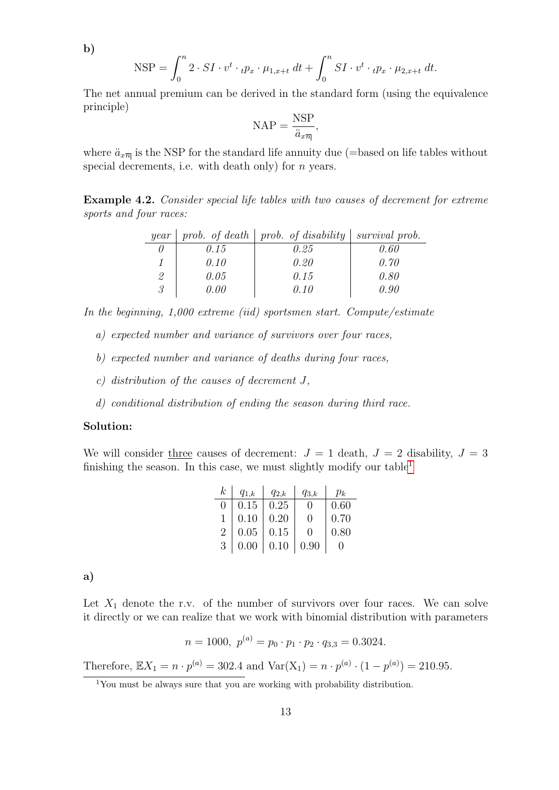b)

$$
\text{NSP} = \int_0^n 2 \cdot SI \cdot v^t \cdot \mu_{1,x+t} dt + \int_0^n SI \cdot v^t \cdot \mu_{2,x+t} dt.
$$

The net annual premium can be derived in the standard form (using the equivalence principle)

$$
\text{NAP} = \frac{\text{NSP}}{\ddot{a}_{x\overline{n}}},
$$

where  $\ddot{a}_{x\overline{n}}$  is the NSP for the standard life annuity due (=based on life tables without special decrements, i.e. with death only) for  $n$  years.

<span id="page-12-1"></span>Example 4.2. Consider special life tables with two causes of decrement for extreme sports and four races:

| year |      | prob. of death $\mid$ prob. of disability | survival prob. |
|------|------|-------------------------------------------|----------------|
|      | 0.15 | 0.25                                      | 0.60           |
|      | 0.10 | 0.20                                      | 0.70           |
| 2    | 0.05 | 0.15                                      | 0.80           |
| 3    | 0.00 | 0.10                                      | N 90           |

In the beginning, 1,000 extreme (iid) sportsmen start. Compute/estimate

- a) expected number and variance of survivors over four races,
- b) expected number and variance of deaths during four races,
- c) distribution of the causes of decrement J,
- d) conditional distribution of ending the season during third race.

### Solution:

We will consider three causes of decrement:  $J = 1$  death,  $J = 2$  disability,  $J = 3$ finishing the season. In this case, we must slightly modify our table<sup>[1](#page-12-0)</sup>

| $\,k$            | $q_{1,k}$ | $q_{2,k}$ | $q_{3,k}$    | $p_k$ |
|------------------|-----------|-----------|--------------|-------|
| $\left( \right)$ | 0.15      | 0.25      | ∩            | 0.60  |
| 1                | 0.10      | 0.20      | ∩            | 0.70  |
| $\overline{2}$   | 0.05      | 0.15      | $\mathbf{O}$ | 0.80  |
| 3                | 0.00      | 0.10      | 0.90         |       |

a)

Let  $X_1$  denote the r.v. of the number of survivors over four races. We can solve it directly or we can realize that we work with binomial distribution with parameters

$$
n = 1000, \ p^{(a)} = p_0 \cdot p_1 \cdot p_2 \cdot q_{3,3} = 0.3024.
$$

Therefore,  $\mathbb{E}X_1 = n \cdot p^{(a)} = 302.4$  and  $\text{Var}(X_1) = n \cdot p^{(a)} \cdot (1 - p^{(a)}) = 210.95$ .

<span id="page-12-0"></span><sup>1</sup>You must be always sure that you are working with probability distribution.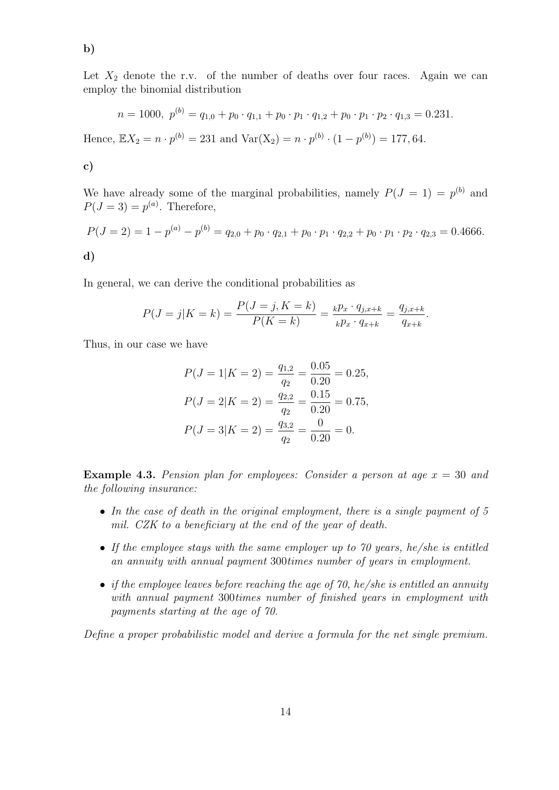$$
n = 1000, \ p^{(b)} = q_{1,0} + p_0 \cdot q_{1,1} + p_0 \cdot p_1 \cdot q_{1,2} + p_0 \cdot p_1 \cdot p_2 \cdot q_{1,3} = 0.231.
$$

Hence,  $\mathbb{E}X_2 = n \cdot p^{(b)} = 231$  and  $\text{Var}(X_2) = n \cdot p^{(b)} \cdot (1 - p^{(b)}) = 177,64$ .

$$
\mathbf{c})
$$

b)

We have already some of the marginal probabilities, namely  $P(J = 1) = p^{(b)}$  and  $P(J=3)=p^{(a)}$ . Therefore,

$$
P(J = 2) = 1 - p^{(a)} - p^{(b)} = q_{2,0} + p_0 \cdot q_{2,1} + p_0 \cdot p_1 \cdot q_{2,2} + p_0 \cdot p_1 \cdot p_2 \cdot q_{2,3} = 0.4666.
$$
  
**d**)

In general, we can derive the conditional probabilities as

$$
P(J = j | K = k) = \frac{P(J = j, K = k)}{P(K = k)} = \frac{k p_x \cdot q_{j,x+k}}{k p_x \cdot q_{x+k}} = \frac{q_{j,x+k}}{q_{x+k}}
$$

.

Thus, in our case we have

$$
P(J = 1|K = 2) = \frac{q_{1,2}}{q_2} = \frac{0.05}{0.20} = 0.25,
$$
  
\n
$$
P(J = 2|K = 2) = \frac{q_{2,2}}{q_2} = \frac{0.15}{0.20} = 0.75,
$$
  
\n
$$
P(J = 3|K = 2) = \frac{q_{3,2}}{q_2} = \frac{0}{0.20} = 0.
$$

**Example 4.3.** Pension plan for employees: Consider a person at age  $x = 30$  and the following insurance:

- In the case of death in the original employment, there is a single payment of 5 mil. CZK to a beneficiary at the end of the year of death.
- If the employee stays with the same employer up to 70 years, he/she is entitled an annuity with annual payment 300times number of years in employment.
- if the employee leaves before reaching the age of 70, he/she is entitled an annuity with annual payment 300times number of finished years in employment with payments starting at the age of 70.

Define a proper probabilistic model and derive a formula for the net single premium.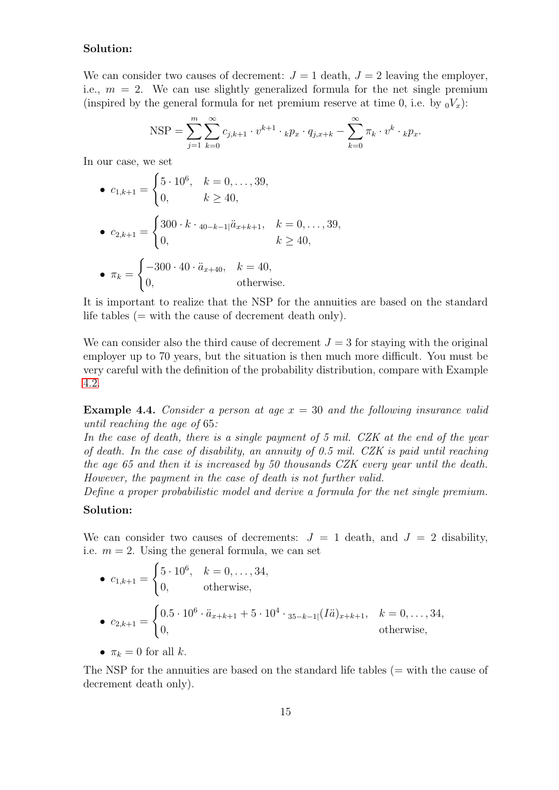# Solution:

We can consider two causes of decrement:  $J = 1$  death,  $J = 2$  leaving the employer, i.e.,  $m = 2$ . We can use slightly generalized formula for the net single premium (inspired by the general formula for net premium reserve at time 0, i.e. by  $_0V_x$ ):

NSP = 
$$
\sum_{j=1}^{m} \sum_{k=0}^{\infty} c_{j,k+1} \cdot v^{k+1} \cdot {}_{k}p_{x} \cdot q_{j,x+k} - \sum_{k=0}^{\infty} \pi_{k} \cdot v^{k} \cdot {}_{k}p_{x}.
$$

In our case, we set

• 
$$
c_{1,k+1} = \begin{cases} 5 \cdot 10^6, & k = 0, ..., 39, \\ 0, & k \ge 40, \end{cases}
$$
  
\n•  $c_{2,k+1} = \begin{cases} 300 \cdot k \cdot {}_{40-k-1} \vec{a}_{x+k+1}, & k = 0, ..., 39, \\ 0, & k \ge 40, \end{cases}$   
\n•  $\pi_k = \begin{cases} -300 \cdot 40 \cdot \vec{a}_{x+40}, & k = 40, \\ 0, & \text{otherwise.} \end{cases}$ 

It is important to realize that the NSP for the annuities are based on the standard life tables  $(=$  with the cause of decrement death only).

We can consider also the third cause of decrement  $J = 3$  for staying with the original employer up to 70 years, but the situation is then much more difficult. You must be very careful with the definition of the probability distribution, compare with Example [4.2.](#page-12-1)

**Example 4.4.** Consider a person at age  $x = 30$  and the following insurance valid until reaching the age of 65:

In the case of death, there is a single payment of 5 mil. CZK at the end of the year of death. In the case of disability, an annuity of 0.5 mil. CZK is paid until reaching the age 65 and then it is increased by 50 thousands CZK every year until the death. However, the payment in the case of death is not further valid.

Define a proper probabilistic model and derive a formula for the net single premium. Solution:

We can consider two causes of decrements:  $J = 1$  death, and  $J = 2$  disability, i.e.  $m = 2$ . Using the general formula, we can set

\n- \n
$$
c_{1,k+1} =\n \begin{cases}\n 5 \cdot 10^6, & k = 0, \ldots, 34, \\
 0, & \text{otherwise,}\n \end{cases}
$$
\n
\n- \n
$$
c_{2,k+1} =\n \begin{cases}\n 0.5 \cdot 10^6 \cdot \ddot{a}_{x+k+1} + 5 \cdot 10^4 \cdot 35 - k - 1 & |(I\ddot{a})_{x+k+1}, & k = 0, \ldots, 34, \\
 0, & \text{otherwise,}\n \end{cases}
$$
\n
\n- \n
$$
\pi_k = 0 \text{ for all } k.
$$
\n
\n

The NSP for the annuities are based on the standard life tables (= with the cause of decrement death only).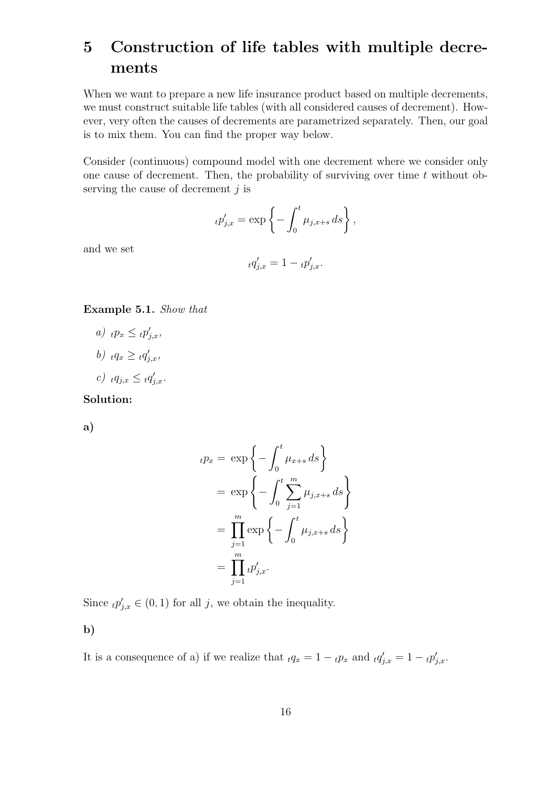# 5 Construction of life tables with multiple decrements

When we want to prepare a new life insurance product based on multiple decrements, we must construct suitable life tables (with all considered causes of decrement). However, very often the causes of decrements are parametrized separately. Then, our goal is to mix them. You can find the proper way below.

Consider (continuous) compound model with one decrement where we consider only one cause of decrement. Then, the probability of surviving over time  $t$  without observing the cause of decrement  $i$  is

$$
{}_tp'_{j,x} = \exp\left\{-\int_0^t \mu_{j,x+s} ds\right\},\,
$$

and we set

$$
_t q'_{j,x} = 1 - _t p'_{j,x}.
$$

Example 5.1. Show that

- a)  $tp_x \leq tp'_{j,x}$ ,
- b)  $_tq_x \geq tq'_{j,x}$ ,
- c)  $_tq_{j,x} \leq tq'_{j,x}$ .

Solution:

a)

$$
{}_tp_x = \exp\left\{-\int_0^t \mu_{x+s} ds\right\}
$$
  
= 
$$
\exp\left\{-\int_0^t \sum_{j=1}^m \mu_{j,x+s} ds\right\}
$$
  
= 
$$
\prod_{j=1}^m \exp\left\{-\int_0^t \mu_{j,x+s} ds\right\}
$$
  
= 
$$
\prod_{j=1}^m {}_tp'_{j,x}.
$$

Since  ${}_tp'_{j,x} \in (0,1)$  for all j, we obtain the inequality.

b)

It is a consequence of a) if we realize that  $_t q_x = 1 - t p_x$  and  $_t q'_{j,x} = 1 - t p'_{j,x}$ .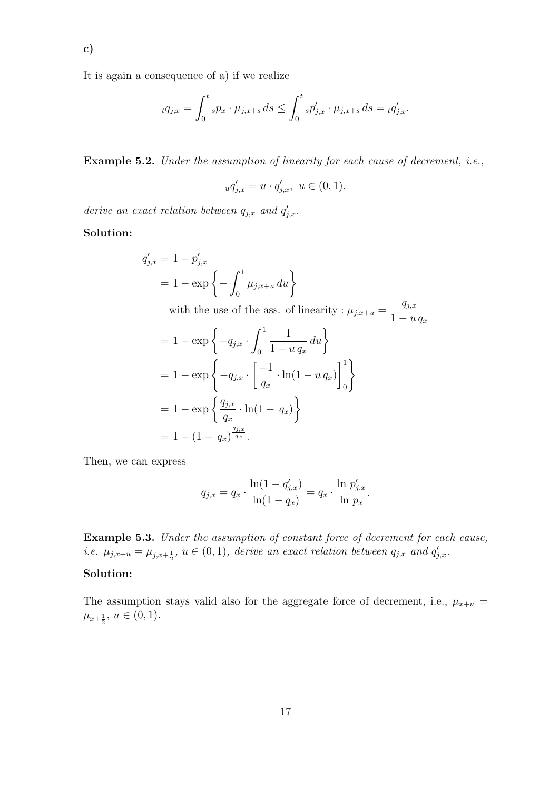c)

It is again a consequence of a) if we realize

$$
_t q_{j,x} = \int_0^t s p_x \cdot \mu_{j,x+s} \, ds \le \int_0^t s p'_{j,x} \cdot \mu_{j,x+s} \, ds = _t q'_{j,x}.
$$

Example 5.2. Under the assumption of linearity for each cause of decrement, i.e.,

$$
_uq'_{j,x} = u \cdot q'_{j,x}, \ u \in (0,1),
$$

derive an exact relation between  $q_{j,x}$  and  $q'_{j,x}$ .

Solution:

$$
q'_{j,x} = 1 - p'_{j,x}
$$
  
= 1 - exp  $\left\{-\int_0^1 \mu_{j,x+u} du\right\}$ 

with the use of the ass. of linearity :  $\mu_{j,x+u} =$  $q_{j,x}$  $1 - u q_x$ 

$$
= 1 - \exp \left\{-q_{j,x} \cdot \int_0^1 \frac{1}{1 - u q_x} du \right\}
$$
  
= 1 - \exp \left\{-q\_{j,x} \cdot \left[\frac{-1}{q\_x} \cdot \ln(1 - u q\_x)\right]\_0^1\right\}  
= 1 - \exp \left\{\frac{q\_{j,x}}{q\_x} \cdot \ln(1 - q\_x)\right\}  
= 1 - (1 - q\_x)^{\frac{q\_{j,x}}{q\_x}}.

Then, we can express

$$
q_{j,x} = q_x \cdot \frac{\ln(1 - q'_{j,x})}{\ln(1 - q_x)} = q_x \cdot \frac{\ln p'_{j,x}}{\ln p_x}.
$$

Example 5.3. Under the assumption of constant force of decrement for each cause, *i.e.*  $\mu_{j,x+u} = \mu_{j,x+\frac{1}{2}}, u \in (0,1)$ , derive an exact relation between  $q_{j,x}$  and  $q'_{j,x}$ .

# Solution:

The assumption stays valid also for the aggregate force of decrement, i.e.,  $\mu_{x+u}$  =  $\mu_{x+\frac{1}{2}}, u \in (0,1).$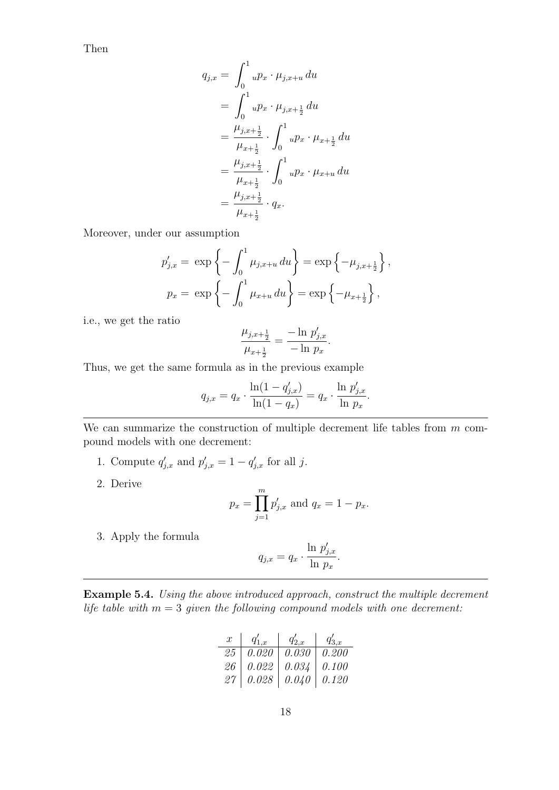Then

$$
q_{j,x} = \int_0^1 u p_x \cdot \mu_{j,x+u} du
$$
  
= 
$$
\int_0^1 u p_x \cdot \mu_{j,x+\frac{1}{2}} du
$$
  
= 
$$
\frac{\mu_{j,x+\frac{1}{2}}}{\mu_{x+\frac{1}{2}}} \cdot \int_0^1 u p_x \cdot \mu_{x+\frac{1}{2}} du
$$
  
= 
$$
\frac{\mu_{j,x+\frac{1}{2}}}{\mu_{x+\frac{1}{2}}} \cdot \int_0^1 u p_x \cdot \mu_{x+u} du
$$
  
= 
$$
\frac{\mu_{j,x+\frac{1}{2}}}{\mu_{x+\frac{1}{2}}} \cdot q_x.
$$

Moreover, under our assumption

$$
p'_{j,x} = \exp\left\{-\int_0^1 \mu_{j,x+u} du\right\} = \exp\left\{-\mu_{j,x+\frac{1}{2}}\right\},
$$
  

$$
p_x = \exp\left\{-\int_0^1 \mu_{x+u} du\right\} = \exp\left\{-\mu_{x+\frac{1}{2}}\right\},
$$

i.e., we get the ratio

$$
\frac{\mu_{j,x+\frac{1}{2}}}{\mu_{x+\frac{1}{2}}} = \frac{-\ln p'_{j,x}}{-\ln p_x}.
$$

Thus, we get the same formula as in the previous example

$$
q_{j,x} = q_x \cdot \frac{\ln(1 - q'_{j,x})}{\ln(1 - q_x)} = q_x \cdot \frac{\ln p'_{j,x}}{\ln p_x}.
$$

We can summarize the construction of multiple decrement life tables from  $m$  compound models with one decrement:

- 1. Compute  $q'_{j,x}$  and  $p'_{j,x} = 1 q'_{j,x}$  for all j.
- 2. Derive

$$
p_x = \prod_{j=1}^m p'_{j,x}
$$
 and  $q_x = 1 - p_x$ .

3. Apply the formula

$$
q_{j,x} = q_x \cdot \frac{\ln p'_{j,x}}{\ln p_x}.
$$

Example 5.4. Using the above introduced approach, construct the multiple decrement life table with  $m = 3$  given the following compound models with one decrement:

$$
\begin{array}{c|ccccc} x & q_{1,x}' & q_{2,x}' & q_{3,x}' \\ \hline 25 & 0.020 & 0.030 & 0.200 \\ 26 & 0.022 & 0.034 & 0.100 \\ 27 & 0.028 & 0.040 & 0.120 \\ \end{array}
$$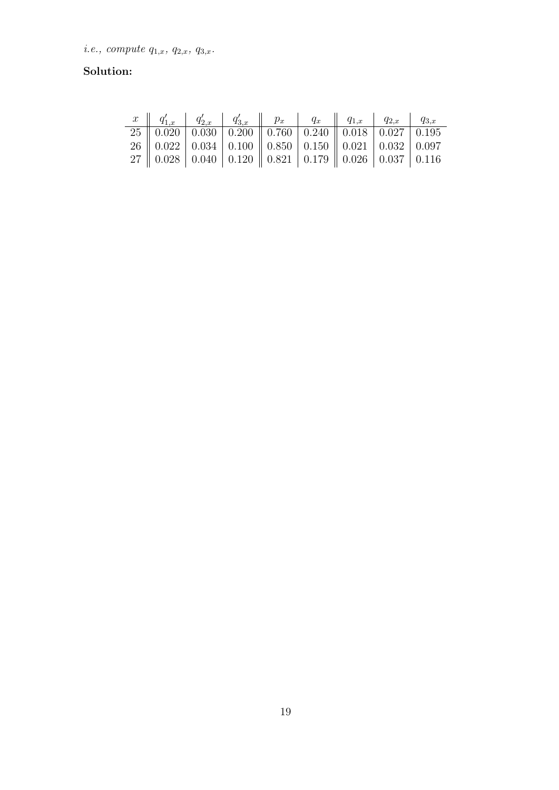# Solution: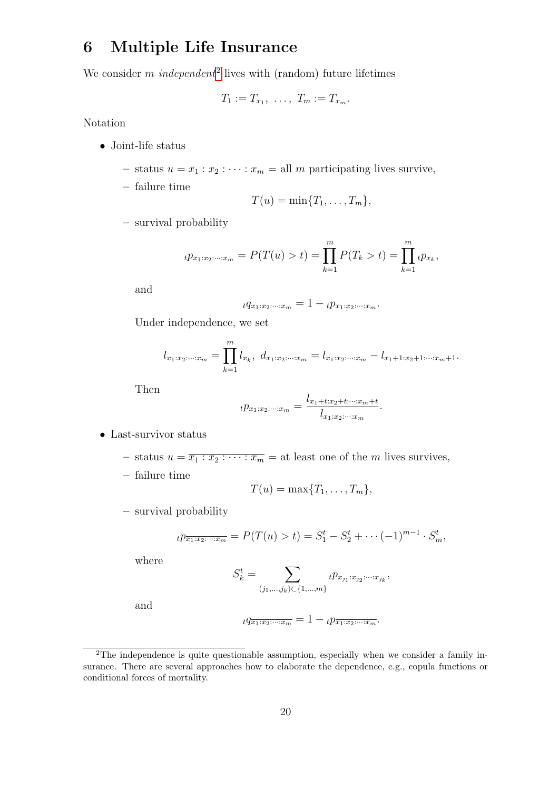# 6 Multiple Life Insurance

We consider m independent<sup>[2](#page-19-0)</sup> lives with (random) future lifetimes

$$
T_1:=T_{x_1},\ \ldots,\ T_m:=T_{x_m}.
$$

Notation

- Joint-life status
	- status  $u = x_1 : x_2 : \cdots : x_m =$ all m participating lives survive,
	- failure time

$$
T(u)=\min\{T_1,\ldots,T_m\},
$$

– survival probability

$$
t p_{x_1:x_2:\dots:x_m} = P(T(u) > t) = \prod_{k=1}^m P(T_k > t) = \prod_{k=1}^m t p_{x_k},
$$

and

$$
tq_{x_1:x_2:\cdots:x_m} = 1 - t p_{x_1:x_2:\cdots:x_m}.
$$

Under independence, we set

$$
l_{x_1:x_2:\cdots:x_m} = \prod_{k=1}^m l_{x_k}, \ d_{x_1:x_2:\cdots:x_m} = l_{x_1:x_2:\cdots:x_m} - l_{x_1+1:x_2+1:\cdots:x_m+1}.
$$

Then

$$
t p_{x_1:x_2:\cdots:x_m} = \frac{l_{x_1+t:x_2+t:\cdots:x_m+t}}{l_{x_1:x_2:\cdots:x_m}}.
$$

- Last-survivor status
	- status  $u = \overline{x_1 : x_2 : \cdots : x_m} =$  at least one of the *m* lives survives,
	- failure time

$$
T(u) = \max\{T_1,\ldots,T_m\},\
$$

– survival probability

$$
{}_{t}p_{\overline{x_{1}:x_{2}:...:x_{m}}} = P(T(u) > t) = S_{1}^{t} - S_{2}^{t} + \cdots + (1)^{m-1} \cdot S_{m}^{t},
$$

where

$$
S_k^t = \sum_{(j_1,\ldots,j_k)\subset\{1,\ldots,m\}} t p_{x_{j_1}:x_{j_2}:\cdots:x_{j_k}},
$$

and

$$
tq_{\overline{x_1:x_2:\cdots:x_m}} = 1 - t p_{\overline{x_1:x_2:\cdots:x_m}}.
$$

<span id="page-19-0"></span> $2$ The independence is quite questionable assumption, especially when we consider a family insurance. There are several approaches how to elaborate the dependence, e.g., copula functions or conditional forces of mortality.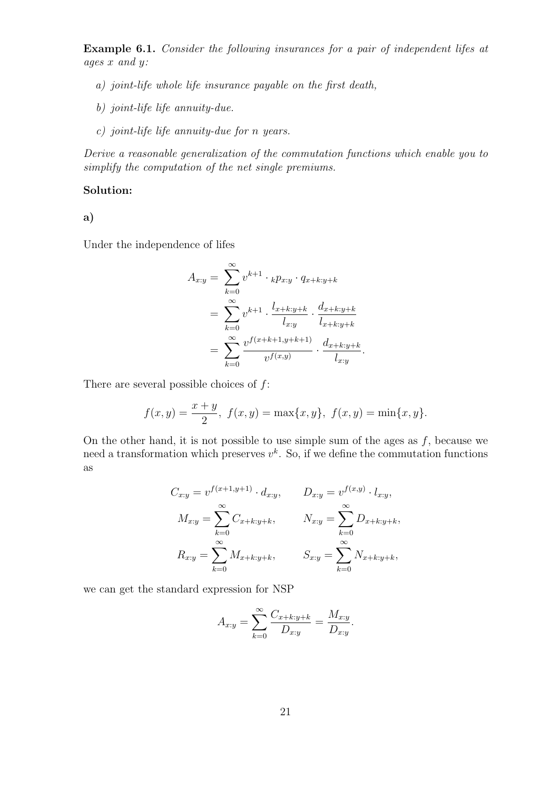Example 6.1. Consider the following insurances for a pair of independent lifes at ages x and y:

- a) joint-life whole life insurance payable on the first death,
- b) joint-life life annuity-due.
- c) joint-life life annuity-due for n years.

Derive a reasonable generalization of the commutation functions which enable you to simplify the computation of the net single premiums.

# Solution:

a)

Under the independence of lifes

$$
A_{x:y} = \sum_{k=0}^{\infty} v^{k+1} \cdot {}_{k}p_{x:y} \cdot q_{x+k:y+k}
$$
  
= 
$$
\sum_{k=0}^{\infty} v^{k+1} \cdot \frac{l_{x+k:y+k}}{l_{x:y}} \cdot \frac{d_{x+k:y+k}}{l_{x+k:y+k}}
$$
  
= 
$$
\sum_{k=0}^{\infty} \frac{v^{f(x+k+1,y+k+1)}}{v^{f(x,y)}} \cdot \frac{d_{x+k:y+k}}{l_{x:y}}.
$$

There are several possible choices of  $f$ :

$$
f(x,y) = \frac{x+y}{2}
$$
,  $f(x,y) = \max\{x,y\}$ ,  $f(x,y) = \min\{x,y\}$ .

On the other hand, it is not possible to use simple sum of the ages as  $f$ , because we need a transformation which preserves  $v^k$ . So, if we define the commutation functions as

$$
C_{x:y} = v^{f(x+1,y+1)} \cdot d_{x:y}, \qquad D_{x:y} = v^{f(x,y)} \cdot l_{x:y},
$$
  

$$
M_{x:y} = \sum_{k=0}^{\infty} C_{x+k:y+k}, \qquad N_{x:y} = \sum_{k=0}^{\infty} D_{x+k:y+k},
$$
  

$$
R_{x:y} = \sum_{k=0}^{\infty} M_{x+k:y+k}, \qquad S_{x:y} = \sum_{k=0}^{\infty} N_{x+k:y+k},
$$

we can get the standard expression for NSP

$$
A_{x:y} = \sum_{k=0}^{\infty} \frac{C_{x+k:y+k}}{D_{x:y}} = \frac{M_{x:y}}{D_{x:y}}.
$$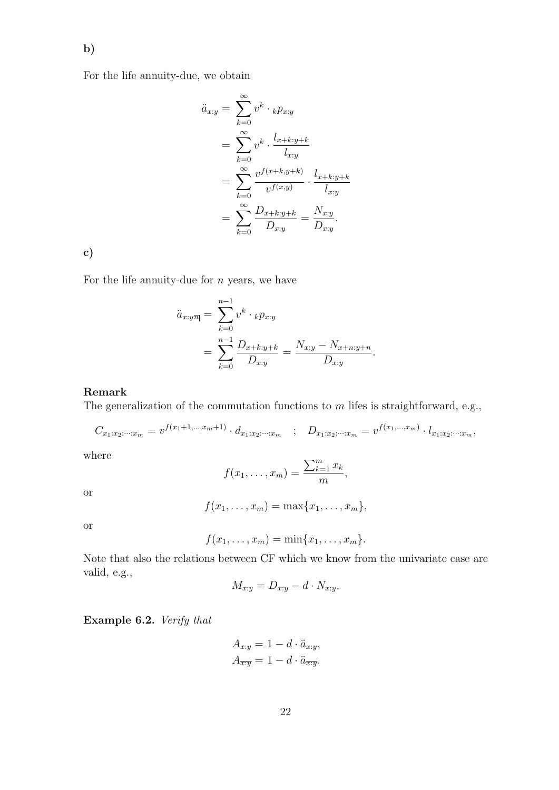For the life annuity-due, we obtain

$$
\ddot{a}_{x:y} = \sum_{k=0}^{\infty} v^k \cdot {}_{k}p_{x:y} \n= \sum_{k=0}^{\infty} v^k \cdot \frac{l_{x+k:y+k}}{l_{x:y}} \n= \sum_{k=0}^{\infty} \frac{v^{f(x+k,y+k)}}{v^{f(x,y)}} \cdot \frac{l_{x+k:y+k}}{l_{x:y}} \n= \sum_{k=0}^{\infty} \frac{D_{x+k:y+k}}{D_{x:y}} = \frac{N_{x:y}}{D_{x:y}}.
$$

c)

For the life annuity-due for  $n$  years, we have

$$
\ddot{a}_{x:y\overline{n}|} = \sum_{k=0}^{n-1} v^k \cdot {}_{k}p_{x:y} \n= \sum_{k=0}^{n-1} \frac{D_{x+k:y+k}}{D_{x:y}} = \frac{N_{x:y} - N_{x+n:y+n}}{D_{x:y}}.
$$

#### Remark

The generalization of the commutation functions to  $m$  lifes is straightforward, e.g.,

$$
C_{x_1:x_2:\dots:x_m} = v^{f(x_1+1,\dots,x_m+1)} \cdot d_{x_1:x_2:\dots:x_m} \quad ; \quad D_{x_1:x_2:\dots:x_m} = v^{f(x_1,\dots,x_m)} \cdot l_{x_1:x_2:\dots:x_m},
$$

where

$$
f(x_1,\ldots,x_m)=\frac{\sum_{k=1}^m x_k}{m},
$$

or

$$
f(x_1,\ldots,x_m)=\max\{x_1,\ldots,x_m\},\,
$$

or

$$
f(x_1,\ldots,x_m)=\min\{x_1,\ldots,x_m\}.
$$

Note that also the relations between CF which we know from the univariate case are valid, e.g.,

$$
M_{x:y} = D_{x:y} - d \cdot N_{x:y}.
$$

Example 6.2. Verify that

$$
A_{x:y} = 1 - d \cdot \ddot{a}_{x:y},
$$
  

$$
A_{\overline{x:y}} = 1 - d \cdot \ddot{a}_{\overline{x:y}}.
$$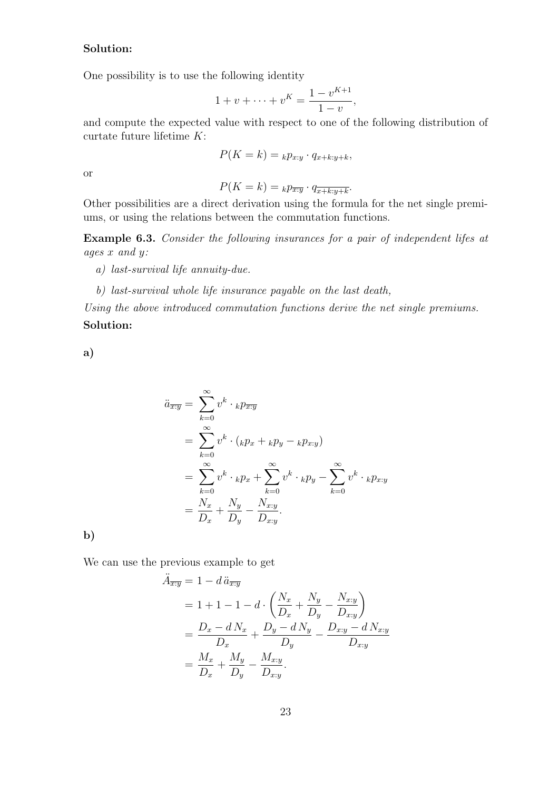# Solution:

One possibility is to use the following identity

$$
1 + v + \dots + v^{K} = \frac{1 - v^{K+1}}{1 - v},
$$

and compute the expected value with respect to one of the following distribution of curtate future lifetime K:

$$
P(K = k) = {}_{k}p_{x:y} \cdot q_{x+k:y+k},
$$

or

$$
P(K = k) = {}_{k}p_{\overline{x:y}} \cdot q_{\overline{x+k:y+k}}.
$$

Other possibilities are a direct derivation using the formula for the net single premiums, or using the relations between the commutation functions.

Example 6.3. Consider the following insurances for a pair of independent lifes at ages x and y:

- a) last-survival life annuity-due.
- b) last-survival whole life insurance payable on the last death,

Using the above introduced commutation functions derive the net single premiums. Solution:

a)

$$
\ddot{a}_{\overline{x}:\overline{y}} = \sum_{k=0}^{\infty} v^k \cdot {}_{k}p_{\overline{x}:\overline{y}}
$$
\n
$$
= \sum_{k=0}^{\infty} v^k \cdot ({}_{k}p_x + {}_{k}p_y - {}_{k}p_{x:y})
$$
\n
$$
= \sum_{k=0}^{\infty} v^k \cdot {}_{k}p_x + \sum_{k=0}^{\infty} v^k \cdot {}_{k}p_y - \sum_{k=0}^{\infty} v^k \cdot {}_{k}p_{x:y}
$$
\n
$$
= \frac{N_x}{D_x} + \frac{N_y}{D_y} - \frac{N_{x:y}}{D_{x:y}}.
$$

b)

We can use the previous example to get

$$
\ddot{A}_{\overline{x}:\overline{y}} = 1 - d \ddot{a}_{\overline{x}:\overline{y}} \n= 1 + 1 - 1 - d \cdot \left( \frac{N_x}{D_x} + \frac{N_y}{D_y} - \frac{N_{x} \cdot y}{D_{x} \cdot y} \right) \n= \frac{D_x - d N_x}{D_x} + \frac{D_y - d N_y}{D_y} - \frac{D_{x} \cdot y - d N_{x} \cdot y}{D_{x} \cdot y} \n= \frac{M_x}{D_x} + \frac{M_y}{D_y} - \frac{M_{x} \cdot y}{D_{x} \cdot y}.
$$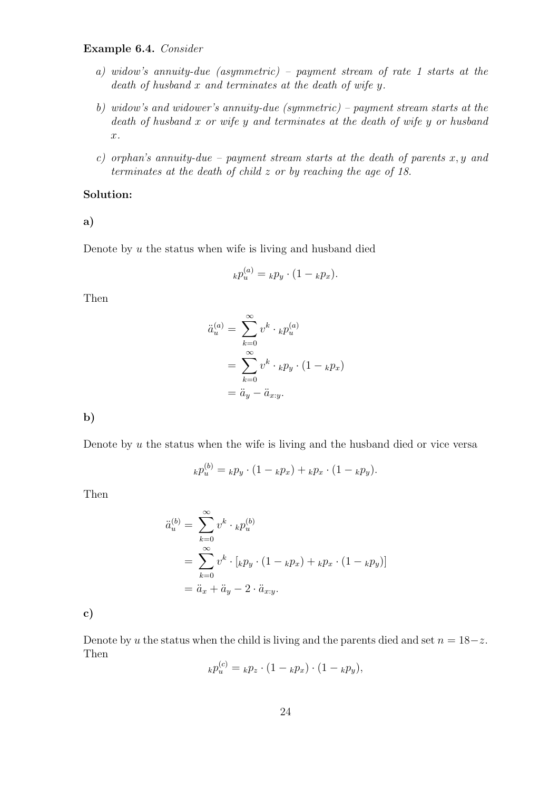# Example 6.4. Consider

- a) widow's annuity-due (asymmetric) payment stream of rate 1 starts at the death of husband  $x$  and terminates at the death of wife  $y$ .
- b) widow's and widower's annuity-due (symmetric) payment stream starts at the death of husband x or wife y and terminates at the death of wife y or husband x.
- c) orphan's annuity-due payment stream starts at the death of parents  $x, y$  and terminates at the death of child z or by reaching the age of 18.

### Solution:

a)

Denote by  $u$  the status when wife is living and husband died

$$
_kp_u^{(a)} = _kp_y \cdot (1 - _kp_x).
$$

Then

$$
\ddot{a}_u^{(a)} = \sum_{k=0}^{\infty} v^k \cdot_k p_u^{(a)}
$$

$$
= \sum_{k=0}^{\infty} v^k \cdot_k p_y \cdot (1 - k p_x)
$$

$$
= \ddot{a}_y - \ddot{a}_{x:y}.
$$

b)

Denote by  $u$  the status when the wife is living and the husband died or vice versa

$$
_{k}p_{u}^{(b)} = {}_{k}p_{y} \cdot (1 - {}_{k}p_{x}) + {}_{k}p_{x} \cdot (1 - {}_{k}p_{y}).
$$

Then

$$
\ddot{a}_u^{(b)} = \sum_{k=0}^{\infty} v^k \cdot_k p_u^{(b)}
$$
  
= 
$$
\sum_{k=0}^{\infty} v^k \cdot [k p_y \cdot (1 - k p_x) + k p_x \cdot (1 - k p_y)]
$$
  
= 
$$
\ddot{a}_x + \ddot{a}_y - 2 \cdot \ddot{a}_{x:y}.
$$

c)

Denote by u the status when the child is living and the parents died and set  $n = 18-z$ . Then  $\sim$ 

$$
_{k}p_{u}^{(c)} = {}_{k}p_{z} \cdot (1 - {}_{k}p_{x}) \cdot (1 - {}_{k}p_{y}),
$$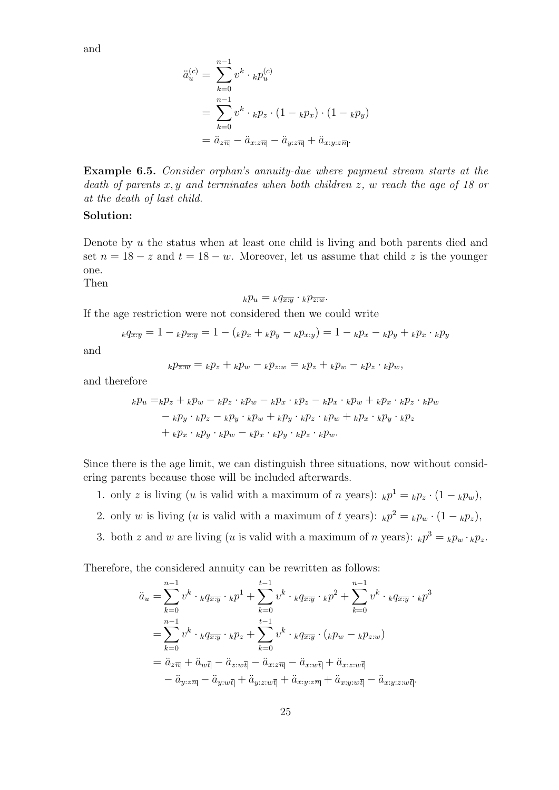and

$$
\ddot{a}_u^{(c)} = \sum_{k=0}^{n-1} v^k \cdot_k p_u^{(c)}
$$
  
= 
$$
\sum_{k=0}^{n-1} v^k \cdot_k p_z \cdot (1 -_k p_x) \cdot (1 -_k p_y)
$$
  
= 
$$
\ddot{a}_{z\overline{n}|} - \ddot{a}_{x:z\overline{n}|} - \ddot{a}_{y:z\overline{n}|} + \ddot{a}_{x:y:z\overline{n}|}.
$$

Example 6.5. Consider orphan's annuity-due where payment stream starts at the death of parents  $x, y$  and terminates when both children  $z, w$  reach the age of 18 or at the death of last child.

## Solution:

Denote by u the status when at least one child is living and both parents died and set  $n = 18 - z$  and  $t = 18 - w$ . Moreover, let us assume that child z is the younger one.

Then

$$
_k p_u = _k q_{\overline{x:y}} \cdot _k p_{\overline{z:w}}.
$$

If the age restriction were not considered then we could write

$$
_{k}q_{\overline{x:y}} = 1 - _{k}p_{\overline{x:y}} = 1 - (_{k}p_{x} + _{k}p_{y} - _{k}p_{x:y}) = 1 - _{k}p_{x} - _{k}p_{y} + _{k}p_{x} \cdot _{k}p_{y}
$$

and

$$
{}_kp_{\overline{z}:\overline{w}} = {}_kp_z + {}_kp_w - {}_kp_z \cdot {}_w = {}_kp_z + {}_kp_w - {}_kp_z \cdot {}_kp_w,
$$

and therefore

$$
k p_u = k p_z + k p_w - k p_z \cdot k p_w - k p_x \cdot k p_z - k p_x \cdot k p_w + k p_x \cdot k p_z \cdot k p_w
$$
  

$$
- k p_y \cdot k p_z - k p_y \cdot k p_w + k p_y \cdot k p_z \cdot k p_w + k p_x \cdot k p_y \cdot k p_z
$$
  

$$
+ k p_x \cdot k p_y \cdot k p_w - k p_x \cdot k p_y \cdot k p_z \cdot k p_w.
$$

Since there is the age limit, we can distinguish three situations, now without considering parents because those will be included afterwards.

- 1. only z is living (u is valid with a maximum of n years):  $_k p^1 = k p_z \cdot (1 k p_w)$ ,
- 2. only w is living (u is valid with a maximum of t years):  $_k p^2 = k p_w \cdot (1 k p_z)$ ,
- 3. both z and w are living (u is valid with a maximum of n years):  $_k p^3 = k p_w \cdot_k p_z$ .

Therefore, the considered annuity can be rewritten as follows:

$$
\ddot{a}_u = \sum_{k=0}^{n-1} v^k \cdot {}_k q_{\overline{x}:\overline{y}} \cdot {}_k p^1 + \sum_{k=0}^{t-1} v^k \cdot {}_k q_{\overline{x}:\overline{y}} \cdot {}_k p^2 + \sum_{k=0}^{n-1} v^k \cdot {}_k q_{\overline{x}:\overline{y}} \cdot {}_k p^3
$$
\n
$$
= \sum_{k=0}^{n-1} v^k \cdot {}_k q_{\overline{x}:\overline{y}} \cdot {}_k p_z + \sum_{k=0}^{t-1} v^k \cdot {}_k q_{\overline{x}:\overline{y}} \cdot ({}_k p_w - {}_k p_{z:w})
$$
\n
$$
= \ddot{a}_{z\overline{n}} + \ddot{a}_{w\overline{t}} - \ddot{a}_{z:w\overline{t}} - \ddot{a}_{x:z\overline{n}} - \ddot{a}_{x:w\overline{t}} + \ddot{a}_{x:z:w\overline{t}} - \ddot{a}_{x:y:z\overline{n}} + \ddot{a}_{x:y:z\overline{n}} + \ddot{a}_{x:y:z\overline{n}}.
$$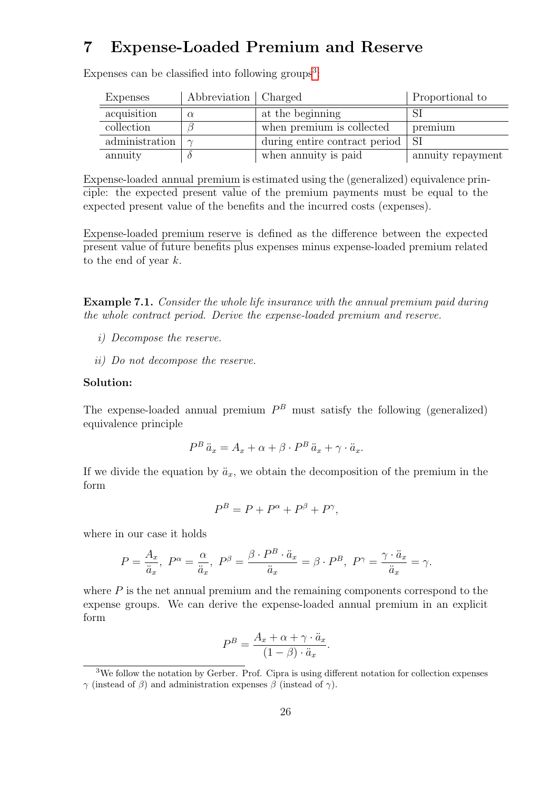# 7 Expense-Loaded Premium and Reserve

| <b>Expenses</b> | Abbreviation   Charged |                                    | Proportional to   |
|-----------------|------------------------|------------------------------------|-------------------|
| acquisition     | $\alpha$               | at the beginning                   |                   |
| collection      |                        | when premium is collected          | premium           |
| administration  |                        | during entire contract period   SI |                   |
| annuity         |                        | when annuity is paid               | annuity repayment |

Expenses can be classified into following groups<sup>[3](#page-25-0)</sup>:

Expense-loaded annual premium is estimated using the (generalized) equivalence principle: the expected present value of the premium payments must be equal to the expected present value of the benefits and the incurred costs (expenses).

Expense-loaded premium reserve is defined as the difference between the expected present value of future benefits plus expenses minus expense-loaded premium related to the end of year k.

Example 7.1. Consider the whole life insurance with the annual premium paid during the whole contract period. Derive the expense-loaded premium and reserve.

- i) Decompose the reserve.
- ii) Do not decompose the reserve.

## Solution:

The expense-loaded annual premium  $P^B$  must satisfy the following (generalized) equivalence principle

$$
P^B \ddot{a}_x = A_x + \alpha + \beta \cdot P^B \ddot{a}_x + \gamma \cdot \ddot{a}_x.
$$

If we divide the equation by  $\ddot{a}_x$ , we obtain the decomposition of the premium in the form

$$
P^B = P + P^{\alpha} + P^{\beta} + P^{\gamma},
$$

where in our case it holds

$$
P = \frac{A_x}{\ddot{a}_x}, \ P^{\alpha} = \frac{\alpha}{\ddot{a}_x}, \ P^{\beta} = \frac{\beta \cdot P^B \cdot \ddot{a}_x}{\ddot{a}_x} = \beta \cdot P^B, \ P^{\gamma} = \frac{\gamma \cdot \ddot{a}_x}{\ddot{a}_x} = \gamma.
$$

where  $P$  is the net annual premium and the remaining components correspond to the expense groups. We can derive the expense-loaded annual premium in an explicit form

$$
P^{B} = \frac{A_{x} + \alpha + \gamma \cdot \ddot{a}_{x}}{(1 - \beta) \cdot \ddot{a}_{x}}.
$$

<span id="page-25-0"></span><sup>3</sup>We follow the notation by Gerber. Prof. Cipra is using different notation for collection expenses  $γ$  (instead of β) and administration expenses β (instead of γ).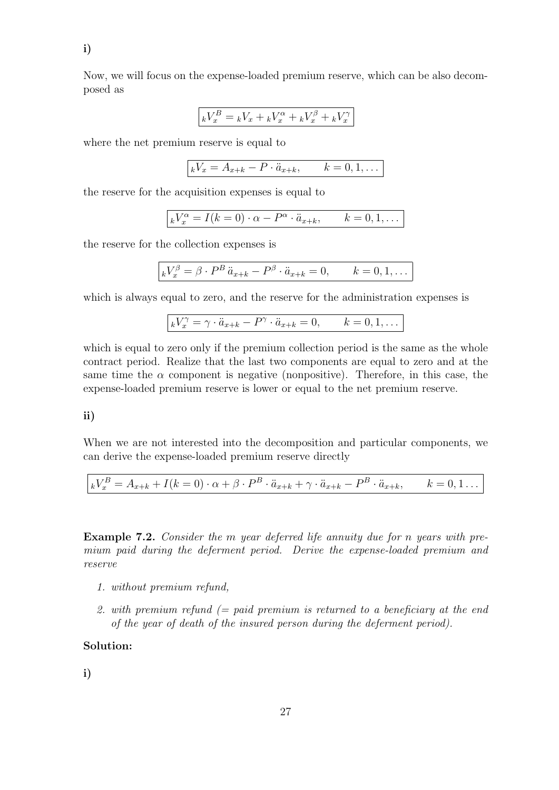Now, we will focus on the expense-loaded premium reserve, which can be also decomposed as

$$
\boxed{^kV_x^B = ^kV_x + ^kV_x^\alpha + ^kV_x^\beta + ^kV_x^\gamma}
$$

where the net premium reserve is equal to

$$
kV_x = A_{x+k} - P \cdot \ddot{a}_{x+k}, \qquad k = 0, 1, \dots
$$

the reserve for the acquisition expenses is equal to

$$
kV_x^{\alpha} = I(k=0) \cdot \alpha - P^{\alpha} \cdot \ddot{a}_{x+k}, \qquad k=0,1,\ldots
$$

the reserve for the collection expenses is

$$
\kappa V_x^{\beta} = \beta \cdot P^B \ddot{a}_{x+k} - P^{\beta} \cdot \ddot{a}_{x+k} = 0, \qquad k = 0, 1, \dots
$$

which is always equal to zero, and the reserve for the administration expenses is

$$
\boxed{kV_x^{\gamma} = \gamma \cdot \ddot{a}_{x+k} - P^{\gamma} \cdot \ddot{a}_{x+k} = 0, \qquad k = 0, 1, \dots}
$$

which is equal to zero only if the premium collection period is the same as the whole contract period. Realize that the last two components are equal to zero and at the same time the  $\alpha$  component is negative (nonpositive). Therefore, in this case, the expense-loaded premium reserve is lower or equal to the net premium reserve.

## ii)

When we are not interested into the decomposition and particular components, we can derive the expense-loaded premium reserve directly

$$
\Big|_k V_x^B = A_{x+k} + I(k=0) \cdot \alpha + \beta \cdot P^B \cdot \ddot{a}_{x+k} + \gamma \cdot \ddot{a}_{x+k} - P^B \cdot \ddot{a}_{x+k}, \qquad k=0,1 \ldots
$$

Example 7.2. Consider the m year deferred life annuity due for n years with premium paid during the deferment period. Derive the expense-loaded premium and reserve

- 1. without premium refund,
- 2. with premium refund  $(=$  paid premium is returned to a beneficiary at the end of the year of death of the insured person during the deferment period).

## Solution:

i)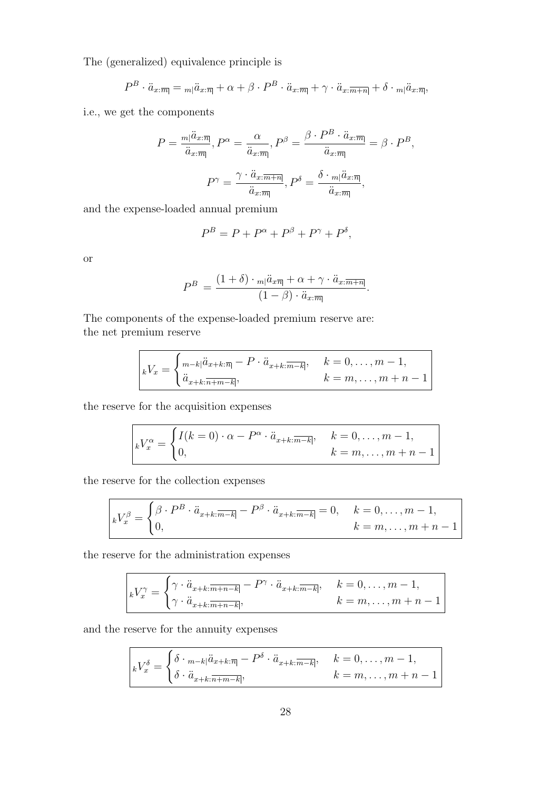The (generalized) equivalence principle is

$$
P^{B} \cdot \ddot{a}_{x:\overline{m}} = {}_{m}|\ddot{a}_{x:\overline{n}|} + \alpha + \beta \cdot P^{B} \cdot \ddot{a}_{x:\overline{m}|} + \gamma \cdot \ddot{a}_{x:\overline{m+n}|} + \delta \cdot {}_{m}|\ddot{a}_{x:\overline{n}|},
$$

i.e., we get the components

$$
P = \frac{m|\ddot{a}_{x:\overline{m}|}}{\ddot{a}_{x:\overline{m}|}}, P^{\alpha} = \frac{\alpha}{\ddot{a}_{x:\overline{m}|}}, P^{\beta} = \frac{\beta \cdot P^{B} \cdot \ddot{a}_{x:\overline{m}|}}{\ddot{a}_{x:\overline{m}|}} = \beta \cdot P^{B},
$$

$$
P^{\gamma} = \frac{\gamma \cdot \ddot{a}_{x:\overline{m+n}|}}{\ddot{a}_{x:\overline{m}|}}, P^{\delta} = \frac{\delta \cdot m|\ddot{a}_{x:\overline{m}|}}{\ddot{a}_{x:\overline{m}|}},
$$

and the expense-loaded annual premium

$$
P^{B} = P + P^{\alpha} + P^{\beta} + P^{\gamma} + P^{\delta},
$$

or

$$
P^{B} = \frac{(1+\delta) \cdot m|\ddot{a}_{x\overline{n}|} + \alpha + \gamma \cdot \ddot{a}_{x:\overline{m+n}|}}{(1-\beta) \cdot \ddot{a}_{x:\overline{m}|}}.
$$

The components of the expense-loaded premium reserve are: the net premium reserve

$$
kV_x = \begin{cases} \n\frac{m-k}{a_{x+k} \cdot (n-k)} - P \cdot \ddot{a}_{x+k} \cdot \frac{m-k}{m-k}, & k = 0, \dots, m-1, \\
\ddot{a}_{x+k} \cdot \frac{m-k}{n-k}, & k = m, \dots, m+n-1\n\end{cases}
$$

the reserve for the acquisition expenses

 $\overline{ }$ 

$$
\begin{cases}\nkV_x^{\alpha} = \begin{cases}\nI(k=0) \cdot \alpha - P^{\alpha} \cdot \ddot{a}_{x+k:\overline{m-k}|}, & k=0,\ldots,m-1, \\
0, & k=m,\ldots,m+n-1\n\end{cases}\n\end{cases}
$$

the reserve for the collection expenses

$$
{}_{k}V_{x}^{\beta} = \begin{cases} \beta \cdot P^{B} \cdot \ddot{a}_{x+k:\overline{m-k}} - P^{\beta} \cdot \ddot{a}_{x+k:\overline{m-k}} = 0, & k = 0, \dots, m-1, \\ 0, & k = m, \dots, m+n-1 \end{cases}
$$

the reserve for the administration expenses

$$
kV_x^{\gamma} = \begin{cases} \gamma \cdot \ddot{a}_{x+k:\overline{m+n-k}} - P^{\gamma} \cdot \ddot{a}_{x+k:\overline{m-k}}, & k = 0, \dots, m-1, \\ \gamma \cdot \ddot{a}_{x+k:\overline{m+n-k}}, & k = m, \dots, m+n-1 \end{cases}
$$

and the reserve for the annuity expenses

$$
kV_x^{\delta} = \begin{cases} \delta \cdot {}_{m-k} |\ddot{a}_{x+k:\overline{n}|} - P^{\delta} \cdot \ddot{a}_{x+k:\overline{m-k}|}, & k = 0, \ldots, m-1, \\ \delta \cdot \ddot{a}_{x+k:\overline{n+m-k}|}, & k = m, \ldots, m+n-1 \end{cases}
$$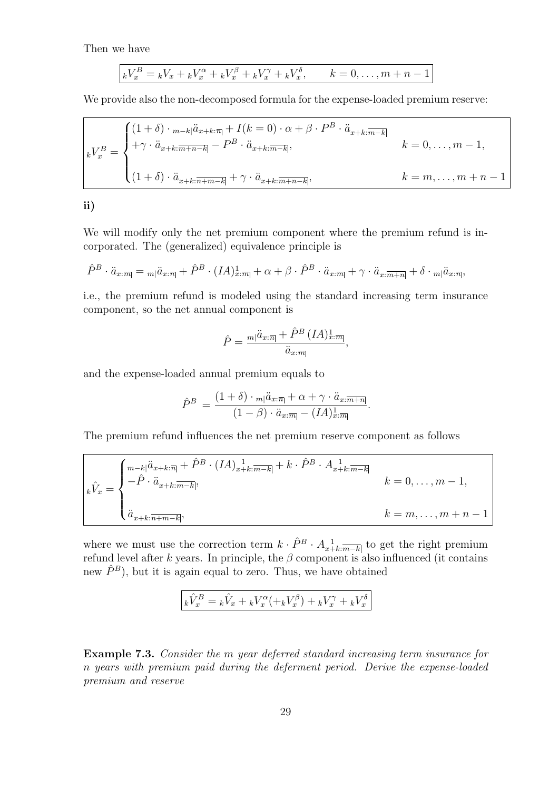Then we have

$$
_kV_x^B = _kV_x + _kV_x^{\alpha} + _kV_x^{\beta} + _kV_x^{\gamma} + _kV_x^{\delta}, \qquad k = 0, ..., m + n - 1
$$

We provide also the non-decomposed formula for the expense-loaded premium reserve:

$$
k = 0, \ldots, m-1,
$$
  
\n
$$
k = \begin{cases} (1+\delta) \cdot \frac{m-k}{a_{x+k} \cdot \overline{m+k}} + I(k=0) \cdot \alpha + \beta \cdot P^B \cdot \ddot{a}_{x+k} \cdot \overline{m-k} \\ + \gamma \cdot \ddot{a}_{x+k} \cdot \frac{m+n-k}{a_{x+k} \cdot \overline{m+k}}, & k = 0, \ldots, m-1, \\ (1+\delta) \cdot \ddot{a}_{x+k} \cdot \overline{m+n-k} + \gamma \cdot \ddot{a}_{x+k} \cdot \overline{m+n-k}, & k = m, \ldots, m+n-1 \end{cases}
$$

ii)

We will modify only the net premium component where the premium refund is incorporated. The (generalized) equivalence principle is

$$
\hat{P}^B \cdot \ddot{a}_{x:\overline{m}} = {}_{m}|\ddot{a}_{x:\overline{n}|} + \hat{P}^B \cdot (IA)_{x:\overline{m}}^1 + \alpha + \beta \cdot \hat{P}^B \cdot \ddot{a}_{x:\overline{m}} + \gamma \cdot \ddot{a}_{x:\overline{m+n}|} + \delta \cdot {}_{m}|\ddot{a}_{x:\overline{n}|},
$$

i.e., the premium refund is modeled using the standard increasing term insurance component, so the net annual component is

$$
\hat{P} = \frac{m|\ddot{a}_{x:\overline{m}|} + \hat{P}^B\left(IA\right)_{x:\overline{m}|}^1}{\ddot{a}_{x:\overline{m}|}},
$$

and the expense-loaded annual premium equals to

$$
\hat{P}^{B} = \frac{(1+\delta) \cdot m|\ddot{a}_{x:\overline{m}} + \alpha + \gamma \cdot \ddot{a}_{x:\overline{m+n}|}}{(1-\beta) \cdot \ddot{a}_{x:\overline{m}} - (IA)_{x:\overline{m}|}}.
$$

The premium refund influences the net premium reserve component as follows

$$
\begin{cases}\n\hat{V}_x = \begin{cases}\n\frac{m - k\left(\ddot{a}_{x+k:\overline{n}\right)} + \hat{P}^B \cdot (IA)_{x+k:\overline{m-k}\right] + k \cdot \hat{P}^B \cdot A_{x+k:\overline{m-k}\right.} \\
-\hat{P} \cdot \ddot{a}_{x+k:\overline{m-k}\right,} \\
\ddot{a}_{x+k:\overline{n+m-k}\right,} & k = 0, \dots, m-1, \\
\ddot{a}_{x+k:\overline{n+m-k}\right,\n\end{cases} \\
k = m, \dots, m+n-1\n\end{cases}
$$

where we must use the correction term  $k \cdot \hat{P}^B \cdot A_{x+k}^{-1}$  to get the right premium refund level after k years. In principle, the  $\beta$  component is also influenced (it contains new  $\hat{P}^B$ ), but it is again equal to zero. Thus, we have obtained

$$
k\hat{V}_x^B = k\hat{V}_x + kV_x^\alpha(+kV_x^\beta) + kV_x^\gamma + kV_x^\delta
$$

Example 7.3. Consider the m year deferred standard increasing term insurance for n years with premium paid during the deferment period. Derive the expense-loaded premium and reserve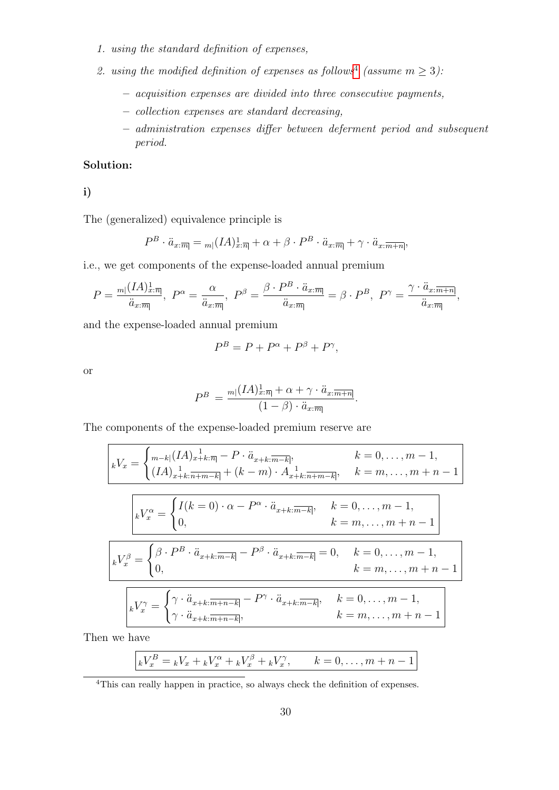- 1. using the standard definition of expenses,
- 2. using the modified definition of expenses as follows<sup>[4](#page-29-0)</sup> (assume  $m \geq 3$ ):
	- acquisition expenses are divided into three consecutive payments,
	- collection expenses are standard decreasing,
	- administration expenses differ between deferment period and subsequent period.

# Solution:

i)

The (generalized) equivalence principle is

$$
P^{B} \cdot \ddot{a}_{x:\overline{m}} = {}_{m} (IA)_{x:\overline{n}}^{1} + \alpha + \beta \cdot P^{B} \cdot \ddot{a}_{x:\overline{m}} + \gamma \cdot \ddot{a}_{x:\overline{m+n}},
$$

i.e., we get components of the expense-loaded annual premium

$$
P = \frac{m|(IA)_{x:\overline{m}|}^1}{\ddot{a}_{x:\overline{m}|}}, \ P^{\alpha} = \frac{\alpha}{\ddot{a}_{x:\overline{m}|}}, \ P^{\beta} = \frac{\beta \cdot P^B \cdot \ddot{a}_{x:\overline{m}|}}{\ddot{a}_{x:\overline{m}|}} = \beta \cdot P^B, \ P^{\gamma} = \frac{\gamma \cdot \ddot{a}_{x:\overline{m+n}|}}{\ddot{a}_{x:\overline{m}|}},
$$

and the expense-loaded annual premium

$$
P^B = P + P^{\alpha} + P^{\beta} + P^{\gamma},
$$

or

$$
P^{B} = \frac{m(IA)_{x:\overline{n}|}^{1} + \alpha + \gamma \cdot \ddot{a}_{x:\overline{m+n}|}}{(1-\beta) \cdot \ddot{a}_{x:\overline{m}|}}.
$$

The components of the expense-loaded premium reserve are

$$
\begin{aligned}\nkV_x &= \begin{cases}\nm_{-k} (IA)_{x+k:\overline{n|} - P \cdot \ddot{a}_{x+k:\overline{m-k|}}, & k = 0, \dots, m-1, \\
(IA)_{x+k:\overline{n+m-k|}} + (k-m) \cdot A_{x+k:\overline{n+m-k|}}, & k = m, \dots, m+n-1\n\end{cases} \\
\boxed{kV_x^{\alpha} = \begin{cases}\nI(k = 0) \cdot \alpha - P^{\alpha} \cdot \ddot{a}_{x+k:\overline{m-k|}}, & k = 0, \dots, m-1, \\
0, & k = m, \dots, m+n-1\n\end{cases} \\
\boxed{kV_x^{\beta} = \begin{cases}\n\beta \cdot P^B \cdot \ddot{a}_{x+k:\overline{m-k|}} - P^{\beta} \cdot \ddot{a}_{x+k:\overline{m-k|}} = 0, & k = 0, \dots, m-1, \\
0, & k = m, \dots, m+n-1\n\end{cases} \\
\boxed{kV_x^{\gamma} = \begin{cases}\n\gamma \cdot \ddot{a}_{x+k:\overline{m+n-k|}} - P^{\gamma} \cdot \ddot{a}_{x+k:\overline{m-k|}}, & k = 0, \dots, m-1, \\
\gamma \cdot \ddot{a}_{x+k:\overline{m+n-k|}}, & k = m, \dots, m+n-1\n\end{cases}\n\end{aligned}
$$

Then we have

$$
kV_x^B = kV_x + kV_x^{\alpha} + kV_x^{\beta} + kV_x^{\gamma}, \qquad k = 0, \dots, m + n - 1
$$

<span id="page-29-0"></span><sup>&</sup>lt;sup>4</sup>This can really happen in practice, so always check the definition of expenses.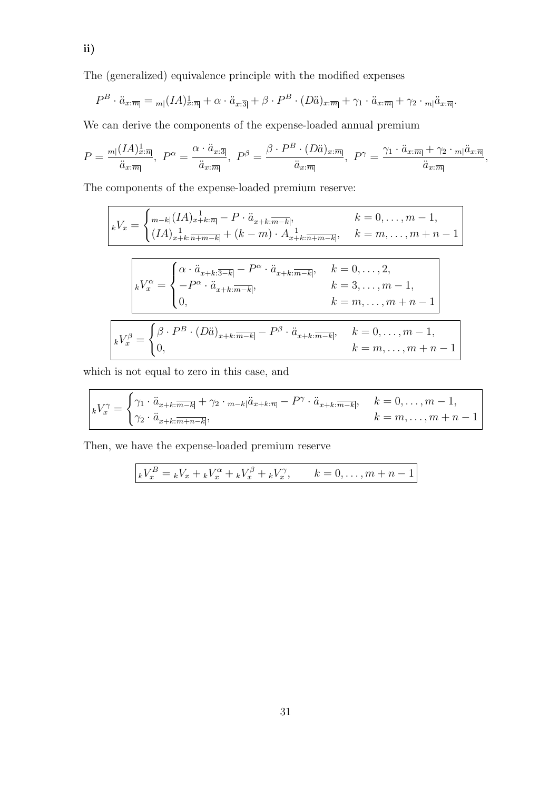The (generalized) equivalence principle with the modified expenses

$$
P^{B} \cdot \ddot{a}_{x:\overline{m}} = {}_{m} (IA)_{x:\overline{n}}^{1} + \alpha \cdot \ddot{a}_{x:\overline{3}} + \beta \cdot P^{B} \cdot (D\ddot{a})_{x:\overline{m}} + \gamma_{1} \cdot \ddot{a}_{x:\overline{m}} + \gamma_{2} \cdot {}_{m} |\ddot{a}_{x:\overline{n}}.
$$

We can derive the components of the expense-loaded annual premium

$$
P = \frac{m[(IA)_{x:\overline{m}]}^{1}}{\ddot{a}_{x:\overline{m}}}, \ P^{\alpha} = \frac{\alpha \cdot \ddot{a}_{x:\overline{3}]}}{\ddot{a}_{x:\overline{m}}}, \ P^{\beta} = \frac{\beta \cdot P^B \cdot (D\ddot{a})_{x:\overline{m}]}{\ddot{a}_{x:\overline{m}}}, \ P^{\gamma} = \frac{\gamma_1 \cdot \ddot{a}_{x:\overline{m}} + \gamma_2 \cdot {}_{m}|\ddot{a}_{x:\overline{m}}}{\ddot{a}_{x:\overline{m}}},
$$

The components of the expense-loaded premium reserve:

$$
\begin{aligned}\n\boxed{kV_x &= \begin{cases}\n\frac{m-k}{l} (IA)_{x+k:\overline{n}} - P \cdot \ddot{a}_{x+k:\overline{m-k}}, & k = 0, \dots, m-1, \\
(IA)_{x+k:\overline{n+m-k}} + (k-m) \cdot A_{x+k:\overline{n+m-k}}, & k = m, \dots, m+n-1\n\end{cases} \\
\boxed{kV_x^{\alpha}} &= \begin{cases}\n\alpha \cdot \ddot{a}_{x+k:\overline{3-k}} - P^{\alpha} \cdot \ddot{a}_{x+k:\overline{m-k}}, & k = 0, \dots, 2, \\
-P^{\alpha} \cdot \ddot{a}_{x+k:\overline{m-k}}, & k = 3, \dots, m-1, \\
0, & k = m, \dots, m+n-1\n\end{cases} \\
\boxed{kV_x^{\beta}} &= \begin{cases}\n\beta \cdot P^B \cdot (D\ddot{a})_{x+k:\overline{m-k}} - P^{\beta} \cdot \ddot{a}_{x+k:\overline{m-k}}, & k = 0, \dots, m-1, \\
0, & k = m, \dots, m+n-1\n\end{cases}\n\end{aligned}
$$

which is not equal to zero in this case, and

$$
\begin{aligned}\n\boxed{kV_x^{\gamma} = \begin{cases}\n\gamma_1 \cdot \ddot{a}_{x+k:\overline{m-k}} + \gamma_2 \cdot \binom{\ddot{a}_{x+k:\overline{m}} - P^{\gamma} \cdot \ddot{a}_{x+k:\overline{m-k}}, & k = 0, \dots, m-1, \\
\gamma_2 \cdot \ddot{a}_{x+k:\overline{m+n-k}}, & k = m, \dots, m+n-1\n\end{cases}\n\end{aligned}
$$

Then, we have the expense-loaded premium reserve

$$
kV_x^B = kV_x + kV_x^{\alpha} + kV_x^{\beta} + kV_x^{\gamma}, \qquad k = 0, \dots, m + n - 1
$$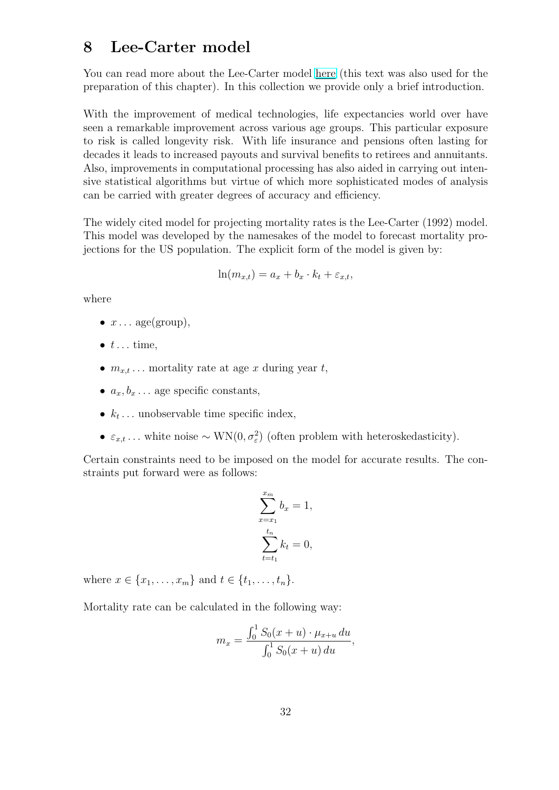# 8 Lee-Carter model

You can read more about the Lee-Carter model [here](http://rstudio-pubs-static.s3.amazonaws.com/466062_fda07a1b42af4793b1f75e4b87435e3a.html) (this text was also used for the preparation of this chapter). In this collection we provide only a brief introduction.

With the improvement of medical technologies, life expectancies world over have seen a remarkable improvement across various age groups. This particular exposure to risk is called longevity risk. With life insurance and pensions often lasting for decades it leads to increased payouts and survival benefits to retirees and annuitants. Also, improvements in computational processing has also aided in carrying out intensive statistical algorithms but virtue of which more sophisticated modes of analysis can be carried with greater degrees of accuracy and efficiency.

The widely cited model for projecting mortality rates is the Lee-Carter (1992) model. This model was developed by the namesakes of the model to forecast mortality projections for the US population. The explicit form of the model is given by:

$$
\ln(m_{x,t}) = a_x + b_x \cdot k_t + \varepsilon_{x,t},
$$

where

- $x \dots \text{age}(\text{group})$ ,
- $\bullet$  t... time.
- $m_{x,t}$ ... mortality rate at age x during year t,
- $a_x, b_x, \ldots$  age specific constants,
- $k_t$ ... unobservable time specific index,
- $\varepsilon_{x,t}$ ... white noise ~ WN $(0, \sigma_{\varepsilon}^2)$  (often problem with heteroskedasticity).

Certain constraints need to be imposed on the model for accurate results. The constraints put forward were as follows:

$$
\sum_{x=x_1}^{x_m} b_x = 1,
$$
  

$$
\sum_{t=t_1}^{t_n} k_t = 0,
$$

where  $x \in \{x_1, \ldots, x_m\}$  and  $t \in \{t_1, \ldots, t_n\}$ .

Mortality rate can be calculated in the following way:

$$
m_x = \frac{\int_0^1 S_0(x+u) \cdot \mu_{x+u} du}{\int_0^1 S_0(x+u) du},
$$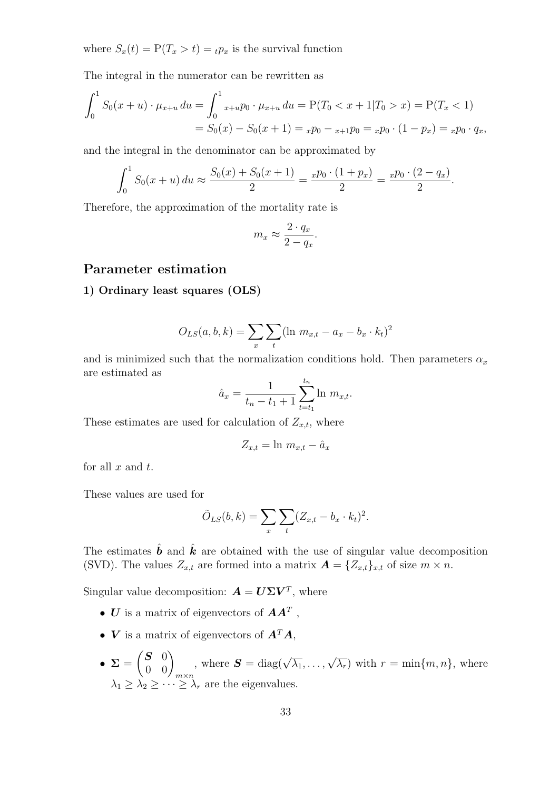where  $S_x(t) = P(T_x > t) ={}_tp_x$  is the survival function

The integral in the numerator can be rewritten as

$$
\int_0^1 S_0(x+u) \cdot \mu_{x+u} du = \int_0^1 x+u p_0 \cdot \mu_{x+u} du = P(T_0 < x+1 | T_0 > x) = P(T_x < 1)
$$
  
=  $S_0(x) - S_0(x+1) = x p_0 - x +1 p_0 = x p_0 \cdot (1 - p_x) = x p_0 \cdot q_x,$ 

and the integral in the denominator can be approximated by

$$
\int_0^1 S_0(x+u) du \approx \frac{S_0(x) + S_0(x+1)}{2} = \frac{x p_0 \cdot (1 + p_x)}{2} = \frac{x p_0 \cdot (2 - q_x)}{2}.
$$

Therefore, the approximation of the mortality rate is

$$
m_x \approx \frac{2 \cdot q_x}{2 - q_x}.
$$

# Parameter estimation

### 1) Ordinary least squares (OLS)

$$
O_{LS}(a, b, k) = \sum_{x} \sum_{t} (\ln m_{x,t} - a_x - b_x \cdot k_t)^2
$$

and is minimized such that the normalization conditions hold. Then parameters  $\alpha_x$ are estimated as

$$
\hat{a}_x = \frac{1}{t_n - t_1 + 1} \sum_{t=t_1}^{t_n} \ln m_{x,t}.
$$

These estimates are used for calculation of  $Z_{x,t}$ , where

$$
Z_{x,t} = \ln m_{x,t} - \hat{a}_x
$$

for all  $x$  and  $t$ .

These values are used for

$$
\tilde{O}_{LS}(b,k) = \sum_{x} \sum_{t} (Z_{x,t} - b_x \cdot k_t)^2.
$$

The estimates  $\hat{b}$  and  $\hat{k}$  are obtained with the use of singular value decomposition (SVD). The values  $Z_{x,t}$  are formed into a matrix  $\mathbf{A} = \{Z_{x,t}\}_{x,t}$  of size  $m \times n$ .

Singular value decomposition:  $\mathbf{A} = \mathbf{U} \Sigma \mathbf{V}^T$ , where

- $\boldsymbol{U}$  is a matrix of eigenvectors of  $\boldsymbol{A}\boldsymbol{A}^T$  ,
- $V$  is a matrix of eigenvectors of  $A^T A$ ,
- $\Sigma =$  $\begin{pmatrix} \mathbf{S} & 0 \\ 0 & 0 \end{pmatrix}_{m \times n}$ , where  $\mathbf{S} = \text{diag}(\sqrt{\lambda_1}, \dots, \sqrt{\lambda_r})$  with  $r = \min\{m, n\}$ , where  $\lambda_1 \geq \lambda_2 \geq \cdots \geq \lambda_r$  are the eigenvalues.